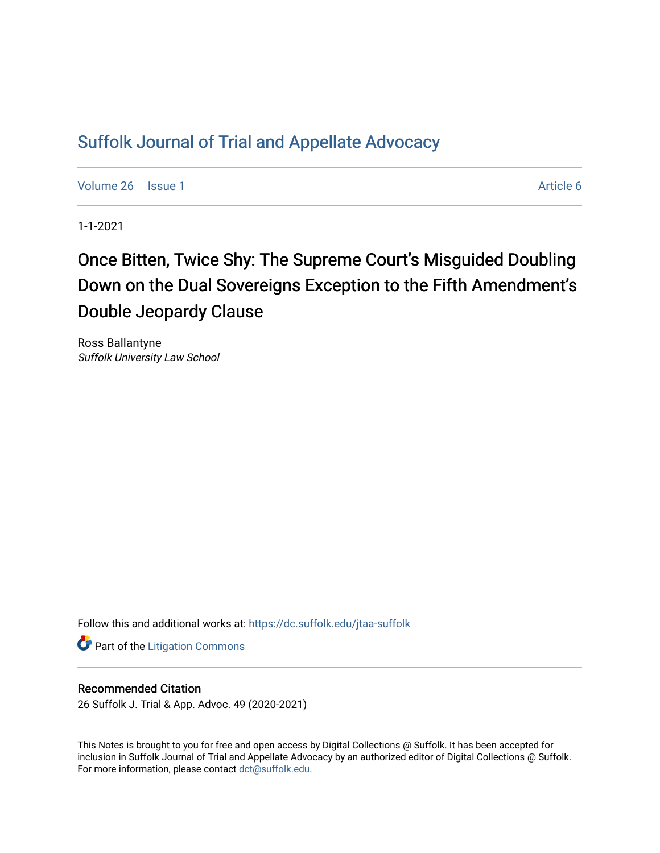# [Suffolk Journal of Trial and Appellate Advocacy](https://dc.suffolk.edu/jtaa-suffolk)

[Volume 26](https://dc.suffolk.edu/jtaa-suffolk/vol26) | [Issue 1](https://dc.suffolk.edu/jtaa-suffolk/vol26/iss1) Article 6

1-1-2021

# Once Bitten, Twice Shy: The Supreme Court's Misguided Doubling Down on the Dual Sovereigns Exception to the Fifth Amendment's Double Jeopardy Clause

Ross Ballantyne Suffolk University Law School

Follow this and additional works at: [https://dc.suffolk.edu/jtaa-suffolk](https://dc.suffolk.edu/jtaa-suffolk?utm_source=dc.suffolk.edu%2Fjtaa-suffolk%2Fvol26%2Fiss1%2F6&utm_medium=PDF&utm_campaign=PDFCoverPages) 

**Part of the [Litigation Commons](https://network.bepress.com/hgg/discipline/910?utm_source=dc.suffolk.edu%2Fjtaa-suffolk%2Fvol26%2Fiss1%2F6&utm_medium=PDF&utm_campaign=PDFCoverPages)** 

# Recommended Citation

26 Suffolk J. Trial & App. Advoc. 49 (2020-2021)

This Notes is brought to you for free and open access by Digital Collections @ Suffolk. It has been accepted for inclusion in Suffolk Journal of Trial and Appellate Advocacy by an authorized editor of Digital Collections @ Suffolk. For more information, please contact [dct@suffolk.edu](mailto:dct@suffolk.edu).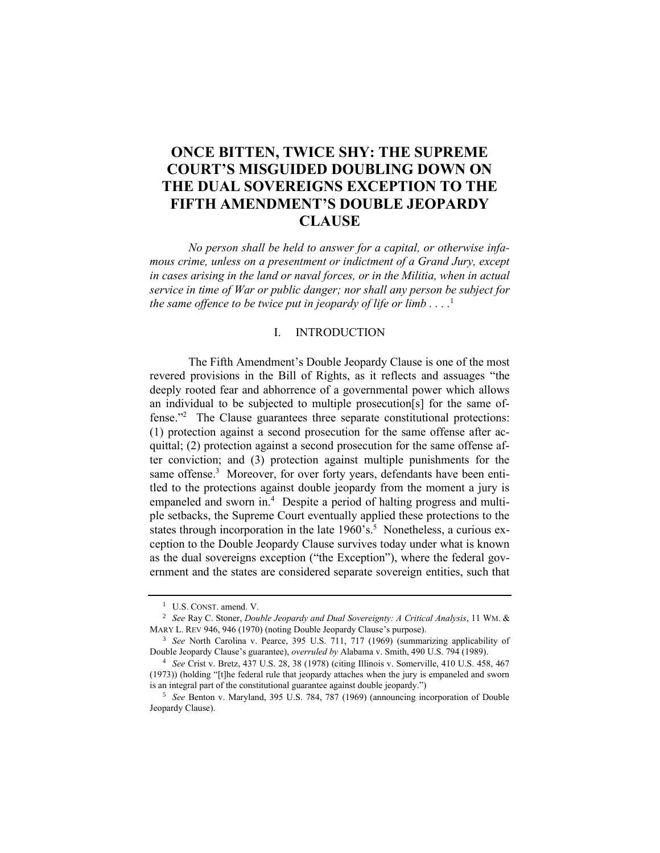# **ONCE BITTEN, TWICE SHY: THE SUPREME COURT'S MISGUIDED DOUBLING DOWN ON THE DUAL SOVEREIGNS EXCEPTION TO THE FIFTH AMENDMENT'S DOUBLE JEOPARDY CLAUSE**

*No person shall be held to answer for a capital, or otherwise infamous crime, unless on a presentment or indictment of a Grand Jury, except in cases arising in the land or naval forces, or in the Militia, when in actual service in time of War or public danger; nor shall any person be subject for the same offence to be twice put in jeopardy of life or limb . . . .* 1

#### I. INTRODUCTION

The Fifth Amendment's Double Jeopardy Clause is one of the most revered provisions in the Bill of Rights, as it reflects and assuages "the deeply rooted fear and abhorrence of a governmental power which allows an individual to be subjected to multiple prosecution[s] for the same offense." 2 The Clause guarantees three separate constitutional protections: (1) protection against a second prosecution for the same offense after acquittal; (2) protection against a second prosecution for the same offense after conviction; and (3) protection against multiple punishments for the same offense.<sup>3</sup> Moreover, for over forty years, defendants have been entitled to the protections against double jeopardy from the moment a jury is empaneled and sworn in.<sup>4</sup> Despite a period of halting progress and multiple setbacks, the Supreme Court eventually applied these protections to the states through incorporation in the late 1960's.<sup>5</sup> Nonetheless, a curious exception to the Double Jeopardy Clause survives today under what is known as the dual sovereigns exception ("the Exception"), where the federal government and the states are considered separate sovereign entities, such that

<sup>1</sup> U.S. CONST. amend. V.

<sup>2</sup> *See* Ray C. Stoner, *Double Jeopardy and Dual Sovereignty: A Critical Analysis*, 11 WM. & MARY L. REV 946, 946 (1970) (noting Double Jeopardy Clause's purpose).

<sup>3</sup> *See* North Carolina v. Pearce, 395 U.S. 711, 717 (1969) (summarizing applicability of Double Jeopardy Clause's guarantee), *overruled by* Alabama v. Smith, 490 U.S. 794 (1989).

<sup>4</sup> *See* Crist v. Bretz, 437 U.S. 28, 38 (1978) (citing Illinois v. Somerville, 410 U.S. 458, 467 (1973)) (holding "[t]he federal rule that jeopardy attaches when the jury is empaneled and sworn is an integral part of the constitutional guarantee against double jeopardy.")

<sup>5</sup> *See* Benton v. Maryland, 395 U.S. 784, 787 (1969) (announcing incorporation of Double Jeopardy Clause).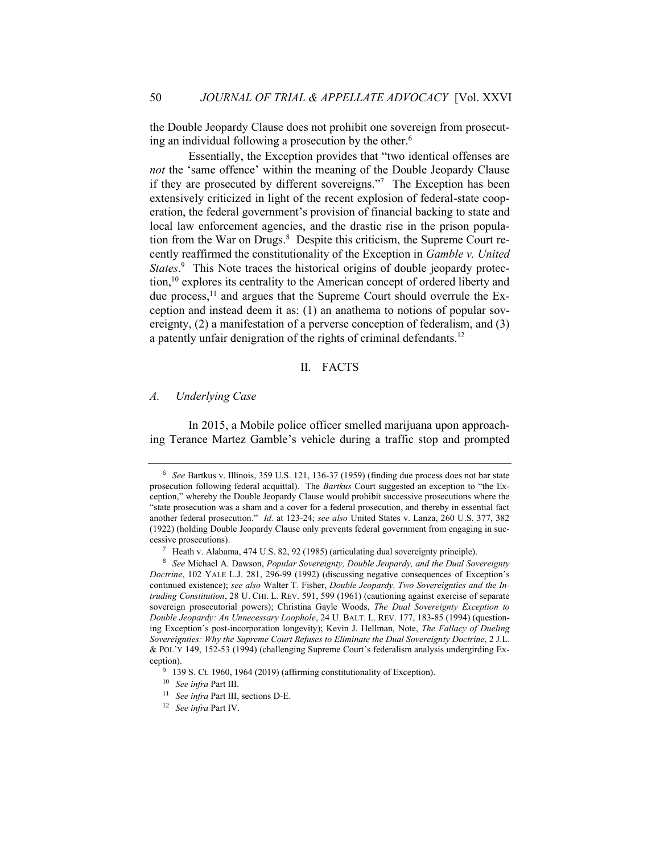the Double Jeopardy Clause does not prohibit one sovereign from prosecuting an individual following a prosecution by the other.<sup>6</sup>

Essentially, the Exception provides that "two identical offenses are *not* the 'same offence' within the meaning of the Double Jeopardy Clause if they are prosecuted by different sovereigns."7 The Exception has been extensively criticized in light of the recent explosion of federal-state cooperation, the federal government's provision of financial backing to state and local law enforcement agencies, and the drastic rise in the prison population from the War on Drugs.<sup>8</sup> Despite this criticism, the Supreme Court recently reaffirmed the constitutionality of the Exception in *Gamble v. United*  States.<sup>9</sup> This Note traces the historical origins of double jeopardy protection,<sup>10</sup> explores its centrality to the American concept of ordered liberty and due process, $^{11}$  and argues that the Supreme Court should overrule the Exception and instead deem it as: (1) an anathema to notions of popular sovereignty, (2) a manifestation of a perverse conception of federalism, and (3) a patently unfair denigration of the rights of criminal defendants.<sup>12</sup>

# II. FACTS

#### *A. Underlying Case*

In 2015, a Mobile police officer smelled marijuana upon approaching Terance Martez Gamble's vehicle during a traffic stop and prompted

<sup>6</sup> *See* Bartkus v. Illinois, 359 U.S. 121, 136-37 (1959) (finding due process does not bar state prosecution following federal acquittal). The *Bartkus* Court suggested an exception to "the Exception," whereby the Double Jeopardy Clause would prohibit successive prosecutions where the "state prosecution was a sham and a cover for a federal prosecution, and thereby in essential fact another federal prosecution." *Id.* at 123-24; *see also* United States v. Lanza, 260 U.S. 377, 382 (1922) (holding Double Jeopardy Clause only prevents federal government from engaging in successive prosecutions).

<sup>7</sup> Heath v. Alabama, 474 U.S. 82, 92 (1985) (articulating dual sovereignty principle).

<sup>8</sup> *See* Michael A. Dawson, *Popular Sovereignty, Double Jeopardy, and the Dual Sovereignty Doctrine*, 102 YALE L.J. 281, 296-99 (1992) (discussing negative consequences of Exception's continued existence); *see also* Walter T. Fisher, *Double Jeopardy, Two Sovereignties and the Intruding Constitution*, 28 U. CHI. L. REV. 591, 599 (1961) (cautioning against exercise of separate sovereign prosecutorial powers); Christina Gayle Woods, *The Dual Sovereignty Exception to Double Jeopardy: An Unnecessary Loophole*, 24 U. BALT. L. REV. 177, 183-85 (1994) (questioning Exception's post-incorporation longevity); Kevin J. Hellman, Note, *The Fallacy of Dueling Sovereignties: Why the Supreme Court Refuses to Eliminate the Dual Sovereignty Doctrine*, 2 J.L. & POL'Y 149, 152-53 (1994) (challenging Supreme Court's federalism analysis undergirding Exception).

<sup>&</sup>lt;sup>9</sup> 139 S. Ct. 1960, 1964 (2019) (affirming constitutionality of Exception).

<sup>10</sup> *See infra* Part III.

<sup>11</sup> *See infra* Part III, sections D-E.

<sup>12</sup> *See infra* Part IV.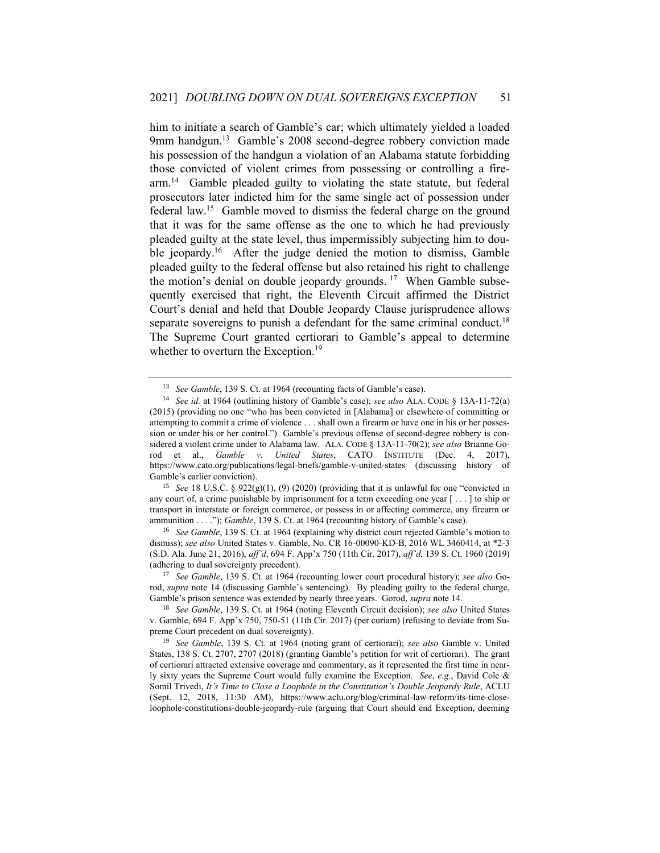him to initiate a search of Gamble's car; which ultimately yielded a loaded 9mm handgun.<sup>13</sup> Gamble's 2008 second-degree robbery conviction made his possession of the handgun a violation of an Alabama statute forbidding those convicted of violent crimes from possessing or controlling a firearm.<sup>14</sup> Gamble pleaded guilty to violating the state statute, but federal prosecutors later indicted him for the same single act of possession under federal law.<sup>15</sup> Gamble moved to dismiss the federal charge on the ground that it was for the same offense as the one to which he had previously pleaded guilty at the state level, thus impermissibly subjecting him to double jeopardy.<sup>16</sup> After the judge denied the motion to dismiss, Gamble pleaded guilty to the federal offense but also retained his right to challenge the motion's denial on double jeopardy grounds.<sup>17</sup> When Gamble subsequently exercised that right, the Eleventh Circuit affirmed the District Court's denial and held that Double Jeopardy Clause jurisprudence allows separate sovereigns to punish a defendant for the same criminal conduct.<sup>18</sup> The Supreme Court granted certiorari to Gamble's appeal to determine whether to overturn the Exception.<sup>19</sup>

<sup>15</sup> *See* 18 U.S.C. § 922(g)(1), (9) (2020) (providing that it is unlawful for one "convicted in any court of, a crime punishable by imprisonment for a term exceeding one year [ . . . ] to ship or transport in interstate or foreign commerce, or possess in or affecting commerce, any firearm or ammunition . . . ."); *Gamble*, 139 S. Ct. at 1964 (recounting history of Gamble's case).

<sup>16</sup> *See Gamble*, 139 S. Ct. at 1964 (explaining why district court rejected Gamble's motion to dismiss); *see also* United States v. Gamble, No. CR 16-00090-KD-B, 2016 WL 3460414, at \*2-3 (S.D. Ala. June 21, 2016), *aff'd*, 694 F. App'x 750 (11th Cir. 2017), *aff'd*, 139 S. Ct. 1960 (2019) (adhering to dual sovereignty precedent).

<sup>17</sup> *See Gamble*, 139 S. Ct. at 1964 (recounting lower court procedural history); *see also* Gorod, *supra* note 14 (discussing Gamble's sentencing). By pleading guilty to the federal charge, Gamble's prison sentence was extended by nearly three years. Gorod, *supra* note 14.

<sup>18</sup> *See Gamble*, 139 S. Ct. at 1964 (noting Eleventh Circuit decision); *see also* United States v. Gamble, 694 F. App'x 750, 750-51 (11th Cir. 2017) (per curiam) (refusing to deviate from Supreme Court precedent on dual sovereignty).

<sup>19</sup> *See Gamble*, 139 S. Ct. at 1964 (noting grant of certiorari); *see also* Gamble v. United States, 138 S. Ct. 2707, 2707 (2018) (granting Gamble's petition for writ of certiorari). The grant of certiorari attracted extensive coverage and commentary, as it represented the first time in nearly sixty years the Supreme Court would fully examine the Exception. *See*, *e.g.*, David Cole & Somil Trivedi, *It's Time to Close a Loophole in the Constitution's Double Jeopardy Rule*, ACLU (Sept. 12, 2018, 11:30 AM), https://www.aclu.org/blog/criminal-law-reform/its-time-closeloophole-constitutions-double-jeopardy-rule (arguing that Court should end Exception, deeming

<sup>13</sup> *See Gamble*, 139 S. Ct. at 1964 (recounting facts of Gamble's case).

<sup>14</sup> *See id.* at 1964 (outlining history of Gamble's case); *see also* ALA. CODE § 13A-11-72(a) (2015) (providing no one "who has been convicted in [Alabama] or elsewhere of committing or attempting to commit a crime of violence . . . shall own a firearm or have one in his or her possession or under his or her control.") Gamble's previous offense of second-degree robbery is considered a violent crime under to Alabama law. ALA. CODE § 13A-11-70(2); *see also* Brianne Gorod et al., *Gamble v. United States*, CATO INSTITUTE (Dec. 4, 2017), https://www.cato.org/publications/legal-briefs/gamble-v-united-states (discussing history of Gamble's earlier conviction).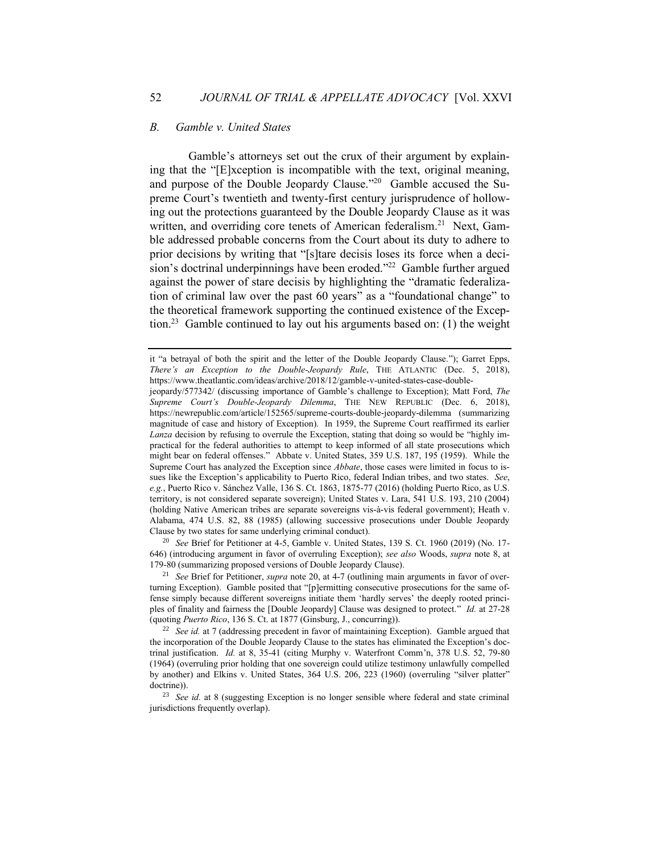#### *B. Gamble v. United States*

Gamble's attorneys set out the crux of their argument by explaining that the "[E]xception is incompatible with the text, original meaning, and purpose of the Double Jeopardy Clause."<sup>20</sup> Gamble accused the Supreme Court's twentieth and twenty-first century jurisprudence of hollowing out the protections guaranteed by the Double Jeopardy Clause as it was written, and overriding core tenets of American federalism.<sup>21</sup> Next, Gamble addressed probable concerns from the Court about its duty to adhere to prior decisions by writing that "[s]tare decisis loses its force when a decision's doctrinal underpinnings have been eroded."<sup>22</sup> Gamble further argued against the power of stare decisis by highlighting the "dramatic federalization of criminal law over the past 60 years" as a "foundational change" to the theoretical framework supporting the continued existence of the Exception.<sup>23</sup> Gamble continued to lay out his arguments based on: (1) the weight

<sup>20</sup> *See* Brief for Petitioner at 4-5, Gamble v. United States, 139 S. Ct. 1960 (2019) (No. 17- 646) (introducing argument in favor of overruling Exception); *see also* Woods, *supra* note 8, at 179-80 (summarizing proposed versions of Double Jeopardy Clause).

it "a betrayal of both the spirit and the letter of the Double Jeopardy Clause."); Garret Epps, *There's an Exception to the Double-Jeopardy Rule*, THE ATLANTIC (Dec. 5, 2018), https://www.theatlantic.com/ideas/archive/2018/12/gamble-v-united-states-case-double-

jeopardy/577342/ (discussing importance of Gamble's challenge to Exception); Matt Ford, *The Supreme Court's Double-Jeopardy Dilemma*, THE NEW REPUBLIC (Dec. 6, 2018), https://newrepublic.com/article/152565/supreme-courts-double-jeopardy-dilemma (summarizing magnitude of case and history of Exception). In 1959, the Supreme Court reaffirmed its earlier *Lanza* decision by refusing to overrule the Exception, stating that doing so would be "highly impractical for the federal authorities to attempt to keep informed of all state prosecutions which might bear on federal offenses." Abbate v. United States, 359 U.S. 187, 195 (1959). While the Supreme Court has analyzed the Exception since *Abbate*, those cases were limited in focus to issues like the Exception's applicability to Puerto Rico, federal Indian tribes, and two states. *See*, *e.g.*, Puerto Rico v. Sánchez Valle, 136 S. Ct. 1863, 1875-77 (2016) (holding Puerto Rico, as U.S. territory, is not considered separate sovereign); United States v. Lara, 541 U.S. 193, 210 (2004) (holding Native American tribes are separate sovereigns vis-à-vis federal government); Heath v. Alabama, 474 U.S. 82, 88 (1985) (allowing successive prosecutions under Double Jeopardy Clause by two states for same underlying criminal conduct).

<sup>21</sup> *See* Brief for Petitioner, *supra* note 20, at 4-7 (outlining main arguments in favor of overturning Exception). Gamble posited that "[p]ermitting consecutive prosecutions for the same offense simply because different sovereigns initiate them 'hardly serves' the deeply rooted principles of finality and fairness the [Double Jeopardy] Clause was designed to protect." *Id.* at 27-28 (quoting *Puerto Rico*, 136 S. Ct. at 1877 (Ginsburg, J., concurring)).

<sup>&</sup>lt;sup>22</sup> *See id.* at 7 (addressing precedent in favor of maintaining Exception). Gamble argued that the incorporation of the Double Jeopardy Clause to the states has eliminated the Exception's doctrinal justification. *Id.* at 8, 35-41 (citing Murphy v. Waterfront Comm'n, 378 U.S. 52, 79-80 (1964) (overruling prior holding that one sovereign could utilize testimony unlawfully compelled by another) and Elkins v. United States, 364 U.S. 206, 223 (1960) (overruling "silver platter" doctrine)).

<sup>&</sup>lt;sup>23</sup> *See id.* at 8 (suggesting Exception is no longer sensible where federal and state criminal jurisdictions frequently overlap).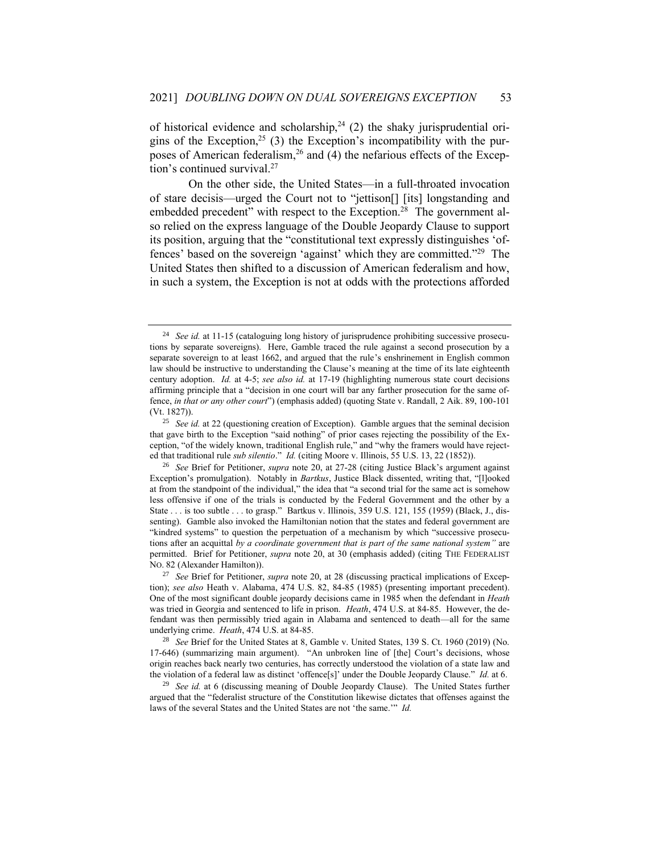of historical evidence and scholarship,  $24$  (2) the shaky jurisprudential origins of the Exception,<sup>25</sup> (3) the Exception's incompatibility with the purposes of American federalism,<sup>26</sup> and  $(4)$  the nefarious effects of the Exception's continued survival.<sup>27</sup>

On the other side, the United States—in a full-throated invocation of stare decisis—urged the Court not to "jettison[] [its] longstanding and embedded precedent" with respect to the Exception.<sup>28</sup> The government also relied on the express language of the Double Jeopardy Clause to support its position, arguing that the "constitutional text expressly distinguishes 'offences' based on the sovereign 'against' which they are committed." 29 The United States then shifted to a discussion of American federalism and how, in such a system, the Exception is not at odds with the protections afforded

<sup>24</sup> *See id.* at 11-15 (cataloguing long history of jurisprudence prohibiting successive prosecutions by separate sovereigns). Here, Gamble traced the rule against a second prosecution by a separate sovereign to at least 1662, and argued that the rule's enshrinement in English common law should be instructive to understanding the Clause's meaning at the time of its late eighteenth century adoption. *Id.* at 4-5; *see also id.* at 17-19 (highlighting numerous state court decisions affirming principle that a "decision in one court will bar any farther prosecution for the same offence, *in that or any other court*") (emphasis added) (quoting State v. Randall, 2 Aik. 89, 100-101 (Vt. 1827)).

<sup>25</sup> *See id.* at 22 (questioning creation of Exception). Gamble argues that the seminal decision that gave birth to the Exception "said nothing" of prior cases rejecting the possibility of the Exception, "of the widely known, traditional English rule," and "why the framers would have rejected that traditional rule *sub silentio*." *Id.* (citing Moore v. Illinois, 55 U.S. 13, 22 (1852)).

<sup>26</sup> *See* Brief for Petitioner, *supra* note 20, at 27-28 (citing Justice Black's argument against Exception's promulgation). Notably in *Bartkus*, Justice Black dissented, writing that, "[l]ooked at from the standpoint of the individual," the idea that "a second trial for the same act is somehow less offensive if one of the trials is conducted by the Federal Government and the other by a State . . . is too subtle . . . to grasp." Bartkus v. Illinois, 359 U.S. 121, 155 (1959) (Black, J., dissenting). Gamble also invoked the Hamiltonian notion that the states and federal government are "kindred systems" to question the perpetuation of a mechanism by which "successive prosecutions after an acquittal *by a coordinate government that is part of the same national system"* are permitted. Brief for Petitioner, *supra* note 20, at 30 (emphasis added) (citing THE FEDERALIST NO. 82 (Alexander Hamilton)).

<sup>27</sup> *See* Brief for Petitioner, *supra* note 20, at 28 (discussing practical implications of Exception); *see also* Heath v. Alabama, 474 U.S. 82, 84-85 (1985) (presenting important precedent). One of the most significant double jeopardy decisions came in 1985 when the defendant in *Heath* was tried in Georgia and sentenced to life in prison. *Heath*, 474 U.S. at 84-85. However, the defendant was then permissibly tried again in Alabama and sentenced to death—all for the same underlying crime. *Heath*, 474 U.S. at 84-85.

<sup>28</sup> *See* Brief for the United States at 8, Gamble v. United States, 139 S. Ct. 1960 (2019) (No. 17-646) (summarizing main argument). "An unbroken line of [the] Court's decisions, whose origin reaches back nearly two centuries, has correctly understood the violation of a state law and the violation of a federal law as distinct 'offence[s]' under the Double Jeopardy Clause." *Id.* at 6.

<sup>29</sup> *See id.* at 6 (discussing meaning of Double Jeopardy Clause). The United States further argued that the "federalist structure of the Constitution likewise dictates that offenses against the laws of the several States and the United States are not 'the same.'" *Id.*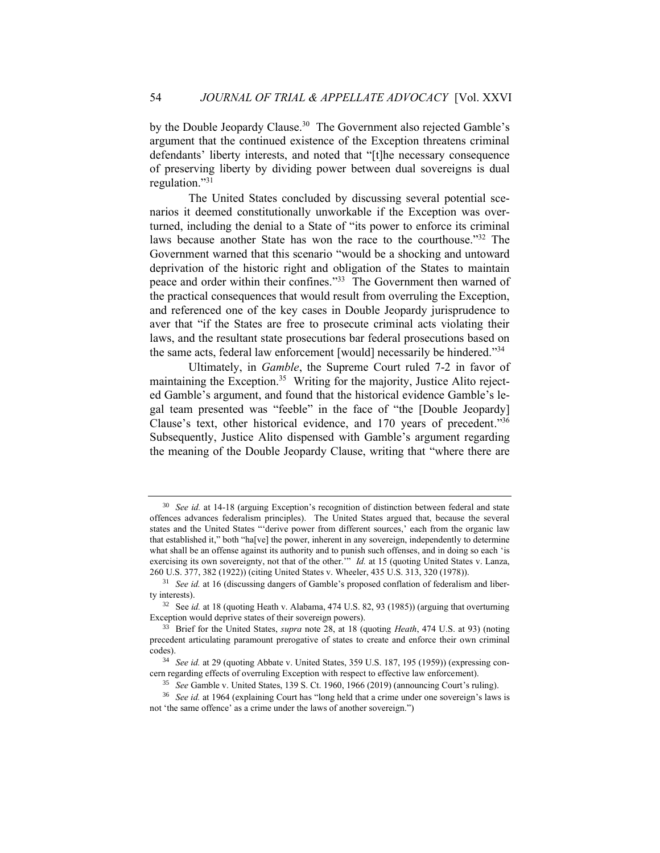by the Double Jeopardy Clause.<sup>30</sup> The Government also rejected Gamble's argument that the continued existence of the Exception threatens criminal defendants' liberty interests, and noted that "[t]he necessary consequence of preserving liberty by dividing power between dual sovereigns is dual regulation." 31

The United States concluded by discussing several potential scenarios it deemed constitutionally unworkable if the Exception was overturned, including the denial to a State of "its power to enforce its criminal laws because another State has won the race to the courthouse." <sup>32</sup> The Government warned that this scenario "would be a shocking and untoward deprivation of the historic right and obligation of the States to maintain peace and order within their confines."<sup>33</sup> The Government then warned of the practical consequences that would result from overruling the Exception, and referenced one of the key cases in Double Jeopardy jurisprudence to aver that "if the States are free to prosecute criminal acts violating their laws, and the resultant state prosecutions bar federal prosecutions based on the same acts, federal law enforcement [would] necessarily be hindered."34

Ultimately, in *Gamble*, the Supreme Court ruled 7-2 in favor of maintaining the Exception.<sup>35</sup> Writing for the majority, Justice Alito rejected Gamble's argument, and found that the historical evidence Gamble's legal team presented was "feeble" in the face of "the [Double Jeopardy] Clause's text, other historical evidence, and 170 years of precedent." 36 Subsequently, Justice Alito dispensed with Gamble's argument regarding the meaning of the Double Jeopardy Clause, writing that "where there are

<sup>&</sup>lt;sup>30</sup> *See id.* at 14-18 (arguing Exception's recognition of distinction between federal and state offences advances federalism principles). The United States argued that, because the several states and the United States "'derive power from different sources,' each from the organic law that established it," both "ha[ve] the power, inherent in any sovereign, independently to determine what shall be an offense against its authority and to punish such offenses, and in doing so each 'is exercising its own sovereignty, not that of the other." *Id.* at 15 (quoting United States v. Lanza, 260 U.S. 377, 382 (1922)) (citing United States v. Wheeler, 435 U.S. 313, 320 (1978)).

<sup>31</sup> *See id.* at 16 (discussing dangers of Gamble's proposed conflation of federalism and liberty interests).

<sup>32</sup> See *id.* at 18 (quoting Heath v. Alabama, 474 U.S. 82, 93 (1985)) (arguing that overturning Exception would deprive states of their sovereign powers).

<sup>33</sup> Brief for the United States, *supra* note 28, at 18 (quoting *Heath*, 474 U.S. at 93) (noting precedent articulating paramount prerogative of states to create and enforce their own criminal codes).

<sup>34</sup> *See id.* at 29 (quoting Abbate v. United States, 359 U.S. 187, 195 (1959)) (expressing concern regarding effects of overruling Exception with respect to effective law enforcement).

<sup>35</sup> *See* Gamble v. United States, 139 S. Ct. 1960, 1966 (2019) (announcing Court's ruling).

<sup>36</sup> *See id.* at 1964 (explaining Court has "long held that a crime under one sovereign's laws is not 'the same offence' as a crime under the laws of another sovereign.")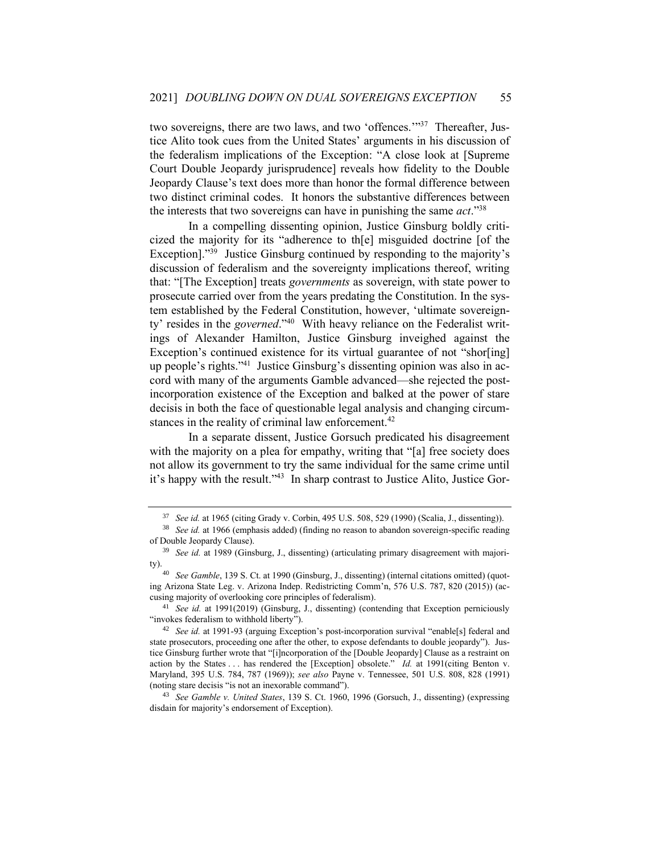two sovereigns, there are two laws, and two 'offences.'"<sup>37</sup> Thereafter, Justice Alito took cues from the United States' arguments in his discussion of the federalism implications of the Exception: "A close look at [Supreme Court Double Jeopardy jurisprudence] reveals how fidelity to the Double Jeopardy Clause's text does more than honor the formal difference between two distinct criminal codes. It honors the substantive differences between the interests that two sovereigns can have in punishing the same *act*." 38

In a compelling dissenting opinion, Justice Ginsburg boldly criticized the majority for its "adherence to th[e] misguided doctrine [of the Exception]."<sup>39</sup> Justice Ginsburg continued by responding to the majority's discussion of federalism and the sovereignty implications thereof, writing that: "[The Exception] treats *governments* as sovereign, with state power to prosecute carried over from the years predating the Constitution. In the system established by the Federal Constitution, however, 'ultimate sovereignty' resides in the *governed*." 40 With heavy reliance on the Federalist writings of Alexander Hamilton, Justice Ginsburg inveighed against the Exception's continued existence for its virtual guarantee of not "shor[ing] up people's rights." 41 Justice Ginsburg's dissenting opinion was also in accord with many of the arguments Gamble advanced—she rejected the postincorporation existence of the Exception and balked at the power of stare decisis in both the face of questionable legal analysis and changing circumstances in the reality of criminal law enforcement.<sup>42</sup>

In a separate dissent, Justice Gorsuch predicated his disagreement with the majority on a plea for empathy, writing that "[a] free society does not allow its government to try the same individual for the same crime until it's happy with the result."<sup>43</sup> In sharp contrast to Justice Alito, Justice Gor-

<sup>37</sup> *See id.* at 1965 (citing Grady v. Corbin, 495 U.S. 508, 529 (1990) (Scalia, J., dissenting)).

<sup>&</sup>lt;sup>38</sup> *See id.* at 1966 (emphasis added) (finding no reason to abandon sovereign-specific reading of Double Jeopardy Clause).

<sup>&</sup>lt;sup>39</sup> See id. at 1989 (Ginsburg, J., dissenting) (articulating primary disagreement with majority).

<sup>40</sup> *See Gamble*, 139 S. Ct. at 1990 (Ginsburg, J., dissenting) (internal citations omitted) (quoting Arizona State Leg. v. Arizona Indep. Redistricting Comm'n, 576 U.S. 787, 820 (2015)) (accusing majority of overlooking core principles of federalism).

<sup>41</sup> *See id.* at 1991(2019) (Ginsburg, J., dissenting) (contending that Exception perniciously "invokes federalism to withhold liberty").

<sup>42</sup> *See id.* at 1991-93 (arguing Exception's post-incorporation survival "enable[s] federal and state prosecutors, proceeding one after the other, to expose defendants to double jeopardy"). Justice Ginsburg further wrote that "[i]ncorporation of the [Double Jeopardy] Clause as a restraint on action by the States . . . has rendered the [Exception] obsolete." *Id.* at 1991(citing Benton v. Maryland, 395 U.S. 784, 787 (1969)); *see also* Payne v. Tennessee, 501 U.S. 808, 828 (1991) (noting stare decisis "is not an inexorable command").

<sup>43</sup> *See Gamble v. United States*, 139 S. Ct. 1960, 1996 (Gorsuch, J., dissenting) (expressing disdain for majority's endorsement of Exception).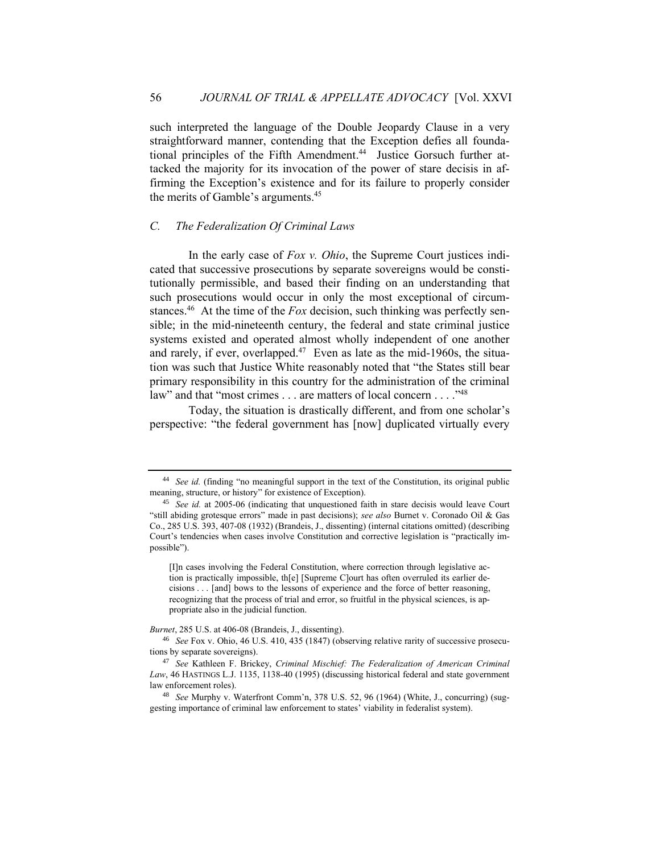such interpreted the language of the Double Jeopardy Clause in a very straightforward manner, contending that the Exception defies all foundational principles of the Fifth Amendment.<sup>44</sup> Justice Gorsuch further attacked the majority for its invocation of the power of stare decisis in affirming the Exception's existence and for its failure to properly consider the merits of Gamble's arguments.<sup>45</sup>

# *C. The Federalization Of Criminal Laws*

In the early case of *Fox v. Ohio*, the Supreme Court justices indicated that successive prosecutions by separate sovereigns would be constitutionally permissible, and based their finding on an understanding that such prosecutions would occur in only the most exceptional of circumstances.<sup>46</sup> At the time of the *Fox* decision, such thinking was perfectly sensible; in the mid-nineteenth century, the federal and state criminal justice systems existed and operated almost wholly independent of one another and rarely, if ever, overlapped.<sup>47</sup> Even as late as the mid-1960s, the situation was such that Justice White reasonably noted that "the States still bear primary responsibility in this country for the administration of the criminal law" and that "most crimes . . . are matters of local concern . . . . "<sup>48</sup>

Today, the situation is drastically different, and from one scholar's perspective: "the federal government has [now] duplicated virtually every

<sup>44</sup> *See id.* (finding "no meaningful support in the text of the Constitution, its original public meaning, structure, or history" for existence of Exception).

<sup>45</sup> *See id.* at 2005-06 (indicating that unquestioned faith in stare decisis would leave Court "still abiding grotesque errors" made in past decisions); *see also* Burnet v. Coronado Oil & Gas Co., 285 U.S. 393, 407-08 (1932) (Brandeis, J., dissenting) (internal citations omitted) (describing Court's tendencies when cases involve Constitution and corrective legislation is "practically impossible").

<sup>[</sup>I]n cases involving the Federal Constitution, where correction through legislative action is practically impossible, th[e] [Supreme C]ourt has often overruled its earlier decisions . . . [and] bows to the lessons of experience and the force of better reasoning, recognizing that the process of trial and error, so fruitful in the physical sciences, is appropriate also in the judicial function.

*Burnet*, 285 U.S. at 406-08 (Brandeis, J., dissenting).

<sup>46</sup> *See* Fox v. Ohio, 46 U.S. 410, 435 (1847) (observing relative rarity of successive prosecutions by separate sovereigns).

<sup>47</sup> *See* Kathleen F. Brickey, *Criminal Mischief: The Federalization of American Criminal Law*, 46 HASTINGS L.J. 1135, 1138-40 (1995) (discussing historical federal and state government law enforcement roles).

<sup>48</sup> *See* Murphy v. Waterfront Comm'n, 378 U.S. 52, 96 (1964) (White, J., concurring) (suggesting importance of criminal law enforcement to states' viability in federalist system).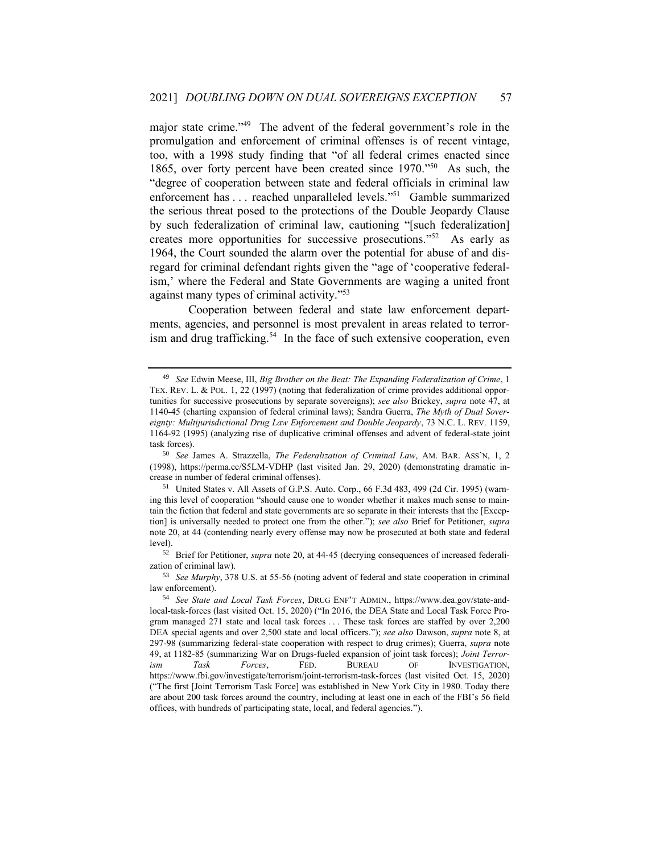major state crime."<sup>49</sup> The advent of the federal government's role in the promulgation and enforcement of criminal offenses is of recent vintage, too, with a 1998 study finding that "of all federal crimes enacted since 1865, over forty percent have been created since 1970." 50 As such, the "degree of cooperation between state and federal officials in criminal law enforcement has ... reached unparalleled levels."<sup>51</sup> Gamble summarized the serious threat posed to the protections of the Double Jeopardy Clause by such federalization of criminal law, cautioning "[such federalization] creates more opportunities for successive prosecutions." <sup>52</sup> As early as 1964, the Court sounded the alarm over the potential for abuse of and disregard for criminal defendant rights given the "age of 'cooperative federalism,' where the Federal and State Governments are waging a united front against many types of criminal activity." 53

Cooperation between federal and state law enforcement departments, agencies, and personnel is most prevalent in areas related to terrorism and drug trafficking.<sup>54</sup> In the face of such extensive cooperation, even

<sup>52</sup> Brief for Petitioner, *supra* note 20, at 44-45 (decrying consequences of increased federalization of criminal law).

<sup>49</sup> *See* Edwin Meese, III, *Big Brother on the Beat: The Expanding Federalization of Crime*, 1 TEX. REV. L. & POL. 1, 22 (1997) (noting that federalization of crime provides additional opportunities for successive prosecutions by separate sovereigns); *see also* Brickey, *supra* note 47, at 1140-45 (charting expansion of federal criminal laws); Sandra Guerra, *The Myth of Dual Sovereignty: Multijurisdictional Drug Law Enforcement and Double Jeopardy*, 73 N.C. L. REV. 1159, 1164-92 (1995) (analyzing rise of duplicative criminal offenses and advent of federal-state joint task forces).

<sup>50</sup> *See* James A. Strazzella, *The Federalization of Criminal Law*, AM. BAR. ASS'N, 1, 2 (1998), https://perma.cc/S5LM-VDHP (last visited Jan. 29, 2020) (demonstrating dramatic increase in number of federal criminal offenses).

<sup>51</sup> United States v. All Assets of G.P.S. Auto. Corp., 66 F.3d 483, 499 (2d Cir. 1995) (warning this level of cooperation "should cause one to wonder whether it makes much sense to maintain the fiction that federal and state governments are so separate in their interests that the [Exception] is universally needed to protect one from the other."); *see also* Brief for Petitioner, *supra* note 20, at 44 (contending nearly every offense may now be prosecuted at both state and federal level).

<sup>53</sup> *See Murphy*, 378 U.S. at 55-56 (noting advent of federal and state cooperation in criminal law enforcement).

<sup>54</sup> *See State and Local Task Forces*, DRUG ENF'T ADMIN., https://www.dea.gov/state-andlocal-task-forces (last visited Oct. 15, 2020) ("In 2016, the DEA State and Local Task Force Program managed 271 state and local task forces . . . These task forces are staffed by over 2,200 DEA special agents and over 2,500 state and local officers."); *see also* Dawson, *supra* note 8, at 297-98 (summarizing federal-state cooperation with respect to drug crimes); Guerra, *supra* note 49, at 1182-85 (summarizing War on Drugs-fueled expansion of joint task forces); *Joint Terrorism Task Forces*, FED. BUREAU OF INVESTIGATION, https://www.fbi.gov/investigate/terrorism/joint-terrorism-task-forces (last visited Oct. 15, 2020) ("The first [Joint Terrorism Task Force] was established in New York City in 1980. Today there are about 200 task forces around the country, including at least one in each of the FBI's 56 field offices, with hundreds of participating state, local, and federal agencies.").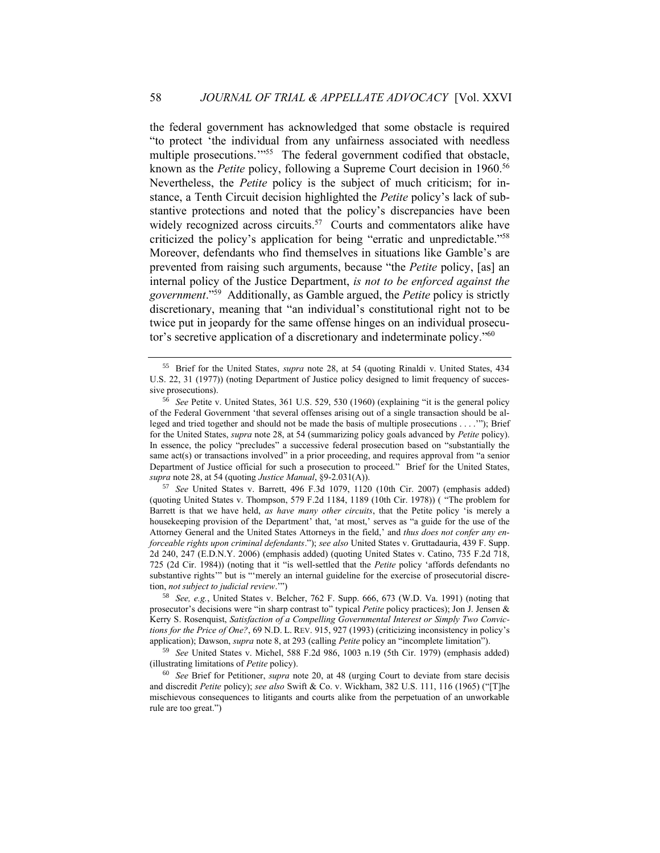the federal government has acknowledged that some obstacle is required "to protect 'the individual from any unfairness associated with needless multiple prosecutions."<sup>55</sup> The federal government codified that obstacle, known as the *Petite* policy, following a Supreme Court decision in 1960.<sup>56</sup> Nevertheless, the *Petite* policy is the subject of much criticism; for instance, a Tenth Circuit decision highlighted the *Petite* policy's lack of substantive protections and noted that the policy's discrepancies have been widely recognized across circuits.<sup>57</sup> Courts and commentators alike have criticized the policy's application for being "erratic and unpredictable." 58 Moreover, defendants who find themselves in situations like Gamble's are prevented from raising such arguments, because "the *Petite* policy, [as] an internal policy of the Justice Department, *is not to be enforced against the government*." 59 Additionally, as Gamble argued, the *Petite* policy is strictly discretionary, meaning that "an individual's constitutional right not to be twice put in jeopardy for the same offense hinges on an individual prosecutor's secretive application of a discretionary and indeterminate policy." 60

<sup>57</sup> *See* United States v. Barrett, 496 F.3d 1079, 1120 (10th Cir. 2007) (emphasis added) (quoting United States v. Thompson, 579 F.2d 1184, 1189 (10th Cir. 1978)) ( "The problem for Barrett is that we have held, *as have many other circuits*, that the Petite policy 'is merely a housekeeping provision of the Department' that, 'at most,' serves as "a guide for the use of the Attorney General and the United States Attorneys in the field,' and *thus does not confer any enforceable rights upon criminal defendants*."); *see also* United States v. Gruttadauria, 439 F. Supp. 2d 240, 247 (E.D.N.Y. 2006) (emphasis added) (quoting United States v. Catino, 735 F.2d 718, 725 (2d Cir. 1984)) (noting that it "is well-settled that the *Petite* policy 'affords defendants no substantive rights" but is "merely an internal guideline for the exercise of prosecutorial discretion, *not subject to judicial review*.'")

<sup>58</sup> *See, e.g.*, United States v. Belcher, 762 F. Supp. 666, 673 (W.D. Va. 1991) (noting that prosecutor's decisions were "in sharp contrast to" typical *Petite* policy practices); Jon J. Jensen & Kerry S. Rosenquist, *Satisfaction of a Compelling Governmental Interest or Simply Two Convictions for the Price of One?*, 69 N.D. L. REV. 915, 927 (1993) (criticizing inconsistency in policy's application); Dawson, *supra* note 8, at 293 (calling *Petite* policy an "incomplete limitation").

<sup>59</sup> *See* United States v. Michel, 588 F.2d 986, 1003 n.19 (5th Cir. 1979) (emphasis added) (illustrating limitations of *Petite* policy).

<sup>60</sup> *See* Brief for Petitioner, *supra* note 20, at 48 (urging Court to deviate from stare decisis and discredit *Petite* policy); *see also* Swift & Co. v. Wickham, 382 U.S. 111, 116 (1965) ("[T]he mischievous consequences to litigants and courts alike from the perpetuation of an unworkable rule are too great.")

<sup>55</sup> Brief for the United States, *supra* note 28, at 54 (quoting Rinaldi v. United States, 434 U.S. 22, 31 (1977)) (noting Department of Justice policy designed to limit frequency of successive prosecutions).

<sup>56</sup> *See* Petite v. United States, 361 U.S. 529, 530 (1960) (explaining "it is the general policy of the Federal Government 'that several offenses arising out of a single transaction should be alleged and tried together and should not be made the basis of multiple prosecutions . . . .'"); Brief for the United States, *supra* note 28, at 54 (summarizing policy goals advanced by *Petite* policy). In essence, the policy "precludes" a successive federal prosecution based on "substantially the same act(s) or transactions involved" in a prior proceeding, and requires approval from "a senior Department of Justice official for such a prosecution to proceed." Brief for the United States, *supra* note 28, at 54 (quoting *Justice Manual*, §9-2.031(A)).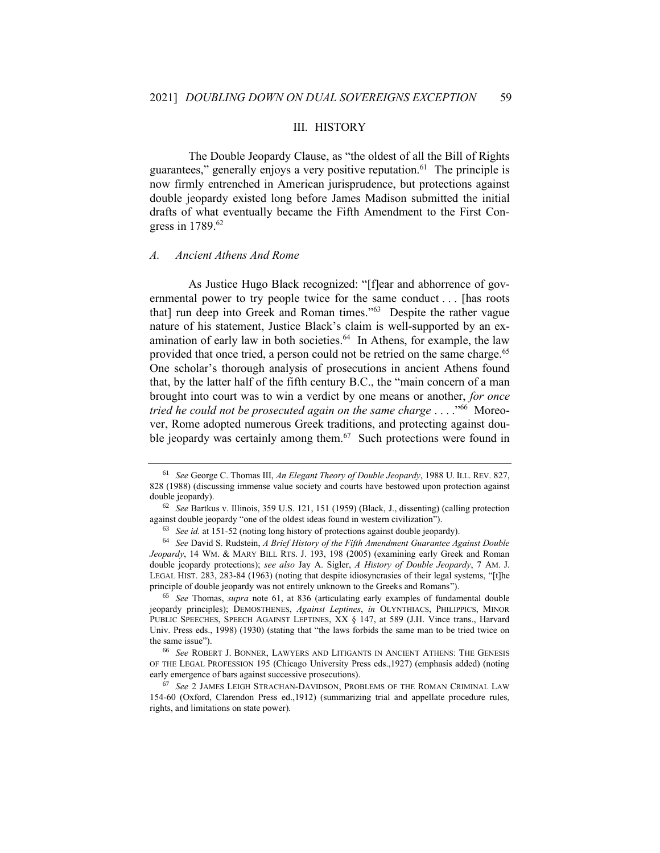#### III. HISTORY

The Double Jeopardy Clause, as "the oldest of all the Bill of Rights guarantees," generally enjoys a very positive reputation.<sup>61</sup> The principle is now firmly entrenched in American jurisprudence, but protections against double jeopardy existed long before James Madison submitted the initial drafts of what eventually became the Fifth Amendment to the First Congress in 1789.<sup>62</sup>

#### *A. Ancient Athens And Rome*

As Justice Hugo Black recognized: "[f]ear and abhorrence of governmental power to try people twice for the same conduct . . . [has roots that] run deep into Greek and Roman times." 63 Despite the rather vague nature of his statement, Justice Black's claim is well-supported by an examination of early law in both societies.<sup>64</sup> In Athens, for example, the law provided that once tried, a person could not be retried on the same charge.<sup>65</sup> One scholar's thorough analysis of prosecutions in ancient Athens found that, by the latter half of the fifth century B.C., the "main concern of a man brought into court was to win a verdict by one means or another, *for once tried he could not be prosecuted again on the same charge* . . . ." 66 Moreover, Rome adopted numerous Greek traditions, and protecting against double jeopardy was certainly among them. $67$  Such protections were found in

<sup>61</sup> *See* George C. Thomas III, *An Elegant Theory of Double Jeopardy*, 1988 U. ILL. REV. 827, 828 (1988) (discussing immense value society and courts have bestowed upon protection against double jeopardy).

<sup>62</sup> *See* Bartkus v. Illinois, 359 U.S. 121, 151 (1959) (Black, J., dissenting) (calling protection against double jeopardy "one of the oldest ideas found in western civilization").

<sup>63</sup> *See id.* at 151-52 (noting long history of protections against double jeopardy).

<sup>64</sup> *See* David S. Rudstein, *A Brief History of the Fifth Amendment Guarantee Against Double Jeopardy*, 14 WM. & MARY BILL RTS. J. 193, 198 (2005) (examining early Greek and Roman double jeopardy protections); *see also* Jay A. Sigler, *A History of Double Jeopardy*, 7 AM. J. LEGAL HIST. 283, 283-84 (1963) (noting that despite idiosyncrasies of their legal systems, "[t]he principle of double jeopardy was not entirely unknown to the Greeks and Romans").

<sup>65</sup> *See* Thomas, *supra* note 61, at 836 (articulating early examples of fundamental double jeopardy principles); DEMOSTHENES, *Against Leptines*, *in* OLYNTHIACS, PHILIPPICS, MINOR PUBLIC SPEECHES, SPEECH AGAINST LEPTINES, XX § 147, at 589 (J.H. Vince trans., Harvard Univ. Press eds., 1998) (1930) (stating that "the laws forbids the same man to be tried twice on the same issue").

<sup>66</sup> *See* ROBERT J. BONNER, LAWYERS AND LITIGANTS IN ANCIENT ATHENS: THE GENESIS OF THE LEGAL PROFESSION 195 (Chicago University Press eds.,1927) (emphasis added) (noting early emergence of bars against successive prosecutions).

<sup>67</sup> *See* 2 JAMES LEIGH STRACHAN-DAVIDSON, PROBLEMS OF THE ROMAN CRIMINAL LAW 154-60 (Oxford, Clarendon Press ed.,1912) (summarizing trial and appellate procedure rules, rights, and limitations on state power).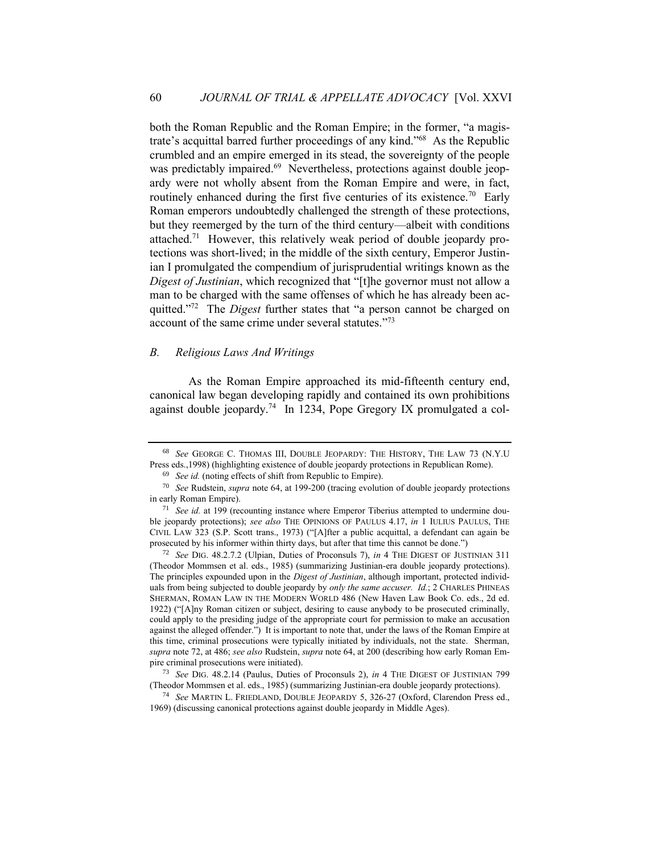both the Roman Republic and the Roman Empire; in the former, "a magistrate's acquittal barred further proceedings of any kind." 68 As the Republic crumbled and an empire emerged in its stead, the sovereignty of the people was predictably impaired.<sup>69</sup> Nevertheless, protections against double jeopardy were not wholly absent from the Roman Empire and were, in fact, routinely enhanced during the first five centuries of its existence.<sup>70</sup> Early Roman emperors undoubtedly challenged the strength of these protections, but they reemerged by the turn of the third century—albeit with conditions attached.<sup>71</sup> However, this relatively weak period of double jeopardy protections was short-lived; in the middle of the sixth century, Emperor Justinian I promulgated the compendium of jurisprudential writings known as the *Digest of Justinian*, which recognized that "[t]he governor must not allow a man to be charged with the same offenses of which he has already been acquitted."<sup>72</sup> The *Digest* further states that "a person cannot be charged on account of the same crime under several statutes." 73

## *B. Religious Laws And Writings*

As the Roman Empire approached its mid-fifteenth century end, canonical law began developing rapidly and contained its own prohibitions against double jeopardy.<sup>74</sup> In 1234, Pope Gregory IX promulgated a col-

<sup>68</sup> *See* GEORGE C. THOMAS III, DOUBLE JEOPARDY: THE HISTORY, THE LAW 73 (N.Y.U Press eds.,1998) (highlighting existence of double jeopardy protections in Republican Rome).

<sup>69</sup> *See id.* (noting effects of shift from Republic to Empire).

<sup>70</sup> *See* Rudstein, *supra* note 64, at 199-200 (tracing evolution of double jeopardy protections in early Roman Empire).

<sup>71</sup> *See id.* at 199 (recounting instance where Emperor Tiberius attempted to undermine double jeopardy protections); *see also* THE OPINIONS OF PAULUS 4.17, *in* 1 IULIUS PAULUS, THE CIVIL LAW 323 (S.P. Scott trans., 1973) ("[A]fter a public acquittal, a defendant can again be prosecuted by his informer within thirty days, but after that time this cannot be done.")

<sup>72</sup> *See* DIG. 48.2.7.2 (Ulpian, Duties of Proconsuls 7), *in* 4 THE DIGEST OF JUSTINIAN 311 (Theodor Mommsen et al. eds., 1985) (summarizing Justinian-era double jeopardy protections). The principles expounded upon in the *Digest of Justinian*, although important, protected individuals from being subjected to double jeopardy by *only the same accuser. Id.*; 2 CHARLES PHINEAS SHERMAN, ROMAN LAW IN THE MODERN WORLD 486 (New Haven Law Book Co. eds., 2d ed. 1922) ("[A]ny Roman citizen or subject, desiring to cause anybody to be prosecuted criminally, could apply to the presiding judge of the appropriate court for permission to make an accusation against the alleged offender.") It is important to note that, under the laws of the Roman Empire at this time, criminal prosecutions were typically initiated by individuals, not the state. Sherman, *supra* note 72, at 486; *see also* Rudstein, *supra* note 64, at 200 (describing how early Roman Empire criminal prosecutions were initiated).

<sup>73</sup> *See* DIG. 48.2.14 (Paulus, Duties of Proconsuls 2), *in* 4 THE DIGEST OF JUSTINIAN 799 (Theodor Mommsen et al. eds., 1985) (summarizing Justinian-era double jeopardy protections).

<sup>74</sup> *See* MARTIN L. FRIEDLAND, DOUBLE JEOPARDY 5, 326-27 (Oxford, Clarendon Press ed., 1969) (discussing canonical protections against double jeopardy in Middle Ages).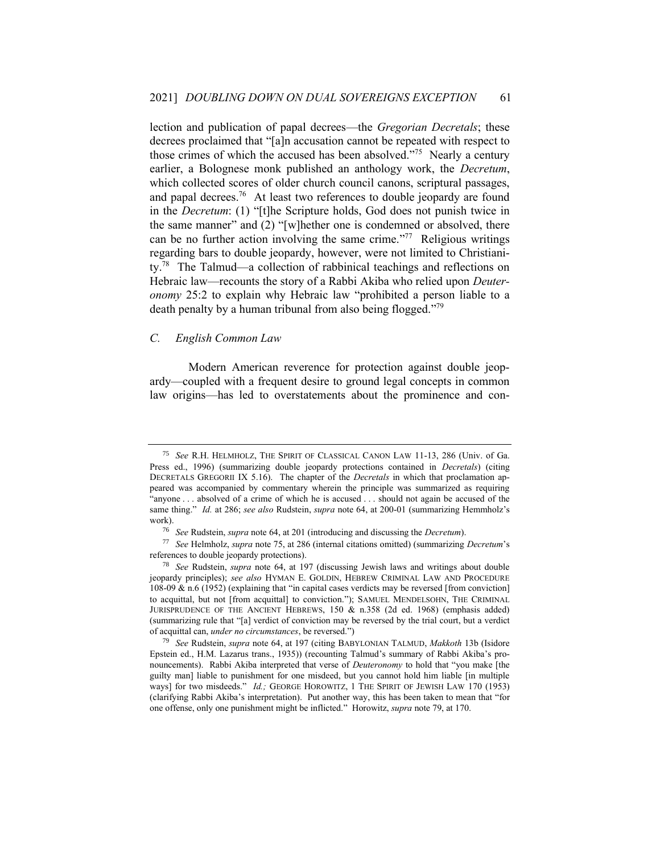lection and publication of papal decrees—the *Gregorian Decretals*; these decrees proclaimed that "[a]n accusation cannot be repeated with respect to those crimes of which the accused has been absolved." 75 Nearly a century earlier, a Bolognese monk published an anthology work, the *Decretum*, which collected scores of older church council canons, scriptural passages, and papal decrees.<sup>76</sup> At least two references to double jeopardy are found in the *Decretum*: (1) "[t]he Scripture holds, God does not punish twice in the same manner" and (2) "[w]hether one is condemned or absolved, there can be no further action involving the same crime." 77 Religious writings regarding bars to double jeopardy, however, were not limited to Christianity.<sup>78</sup> The Talmud—a collection of rabbinical teachings and reflections on Hebraic law—recounts the story of a Rabbi Akiba who relied upon *Deuteronomy* 25:2 to explain why Hebraic law "prohibited a person liable to a death penalty by a human tribunal from also being flogged."<sup>79</sup>

## *C. English Common Law*

Modern American reverence for protection against double jeopardy—coupled with a frequent desire to ground legal concepts in common law origins—has led to overstatements about the prominence and con-

<sup>75</sup> *See* R.H. HELMHOLZ, THE SPIRIT OF CLASSICAL CANON LAW 11-13, 286 (Univ. of Ga. Press ed., 1996) (summarizing double jeopardy protections contained in *Decretals*) (citing DECRETALS GREGORII IX 5.16). The chapter of the *Decretals* in which that proclamation appeared was accompanied by commentary wherein the principle was summarized as requiring "anyone . . . absolved of a crime of which he is accused . . . should not again be accused of the same thing." *Id.* at 286; *see also* Rudstein, *supra* note 64, at 200-01 (summarizing Hemmholz's work).

<sup>76</sup> *See* Rudstein, *supra* note 64, at 201 (introducing and discussing the *Decretum*).

<sup>77</sup> *See* Helmholz, *supra* note 75, at 286 (internal citations omitted) (summarizing *Decretum*'s references to double jeopardy protections).

<sup>78</sup> *See* Rudstein, *supra* note 64, at 197 (discussing Jewish laws and writings about double jeopardy principles); *see also* HYMAN E. GOLDIN, HEBREW CRIMINAL LAW AND PROCEDURE 108-09 & n.6 (1952) (explaining that "in capital cases verdicts may be reversed [from conviction] to acquittal, but not [from acquittal] to conviction."); SAMUEL MENDELSOHN, THE CRIMINAL JURISPRUDENCE OF THE ANCIENT HEBREWS, 150 & n.358 (2d ed. 1968) (emphasis added) (summarizing rule that "[a] verdict of conviction may be reversed by the trial court, but a verdict of acquittal can, *under no circumstances*, be reversed.")

<sup>79</sup> *See* Rudstein, *supra* note 64, at 197 (citing BABYLONIAN TALMUD, *Makkoth* 13b (Isidore Epstein ed., H.M. Lazarus trans., 1935)) (recounting Talmud's summary of Rabbi Akiba's pronouncements). Rabbi Akiba interpreted that verse of *Deuteronomy* to hold that "you make [the guilty man] liable to punishment for one misdeed, but you cannot hold him liable [in multiple ways] for two misdeeds." *Id.*; GEORGE HOROWITZ, 1 THE SPIRIT OF JEWISH LAW 170 (1953) (clarifying Rabbi Akiba's interpretation). Put another way, this has been taken to mean that "for one offense, only one punishment might be inflicted." Horowitz, *supra* note 79, at 170.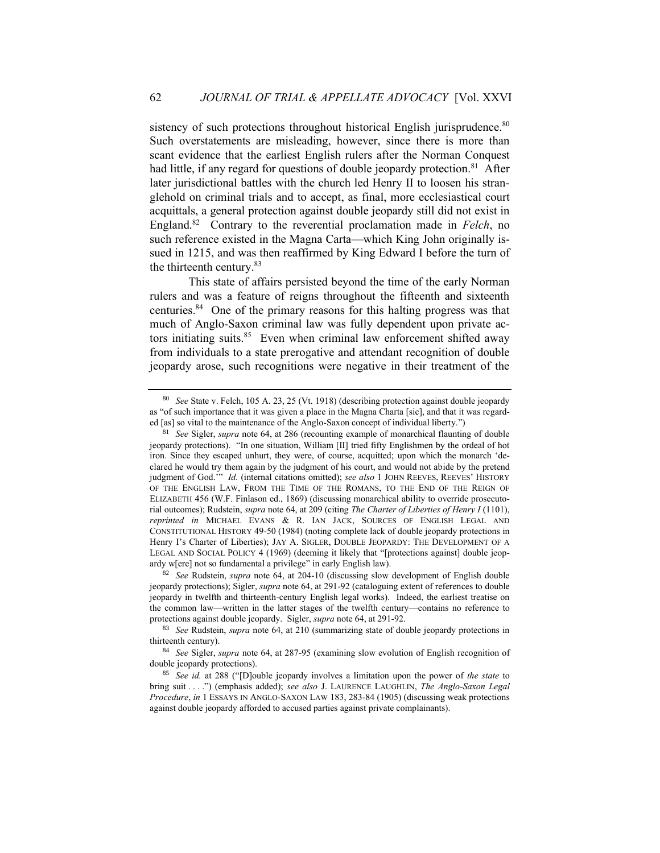sistency of such protections throughout historical English jurisprudence.<sup>80</sup> Such overstatements are misleading, however, since there is more than scant evidence that the earliest English rulers after the Norman Conquest had little, if any regard for questions of double jeopardy protection.<sup>81</sup> After later jurisdictional battles with the church led Henry II to loosen his stranglehold on criminal trials and to accept, as final, more ecclesiastical court acquittals, a general protection against double jeopardy still did not exist in England.<sup>82</sup> Contrary to the reverential proclamation made in *Felch*, no such reference existed in the Magna Carta—which King John originally issued in 1215, and was then reaffirmed by King Edward I before the turn of the thirteenth century.<sup>83</sup>

This state of affairs persisted beyond the time of the early Norman rulers and was a feature of reigns throughout the fifteenth and sixteenth centuries.<sup>84</sup> One of the primary reasons for this halting progress was that much of Anglo-Saxon criminal law was fully dependent upon private actors initiating suits.<sup>85</sup> Even when criminal law enforcement shifted away from individuals to a state prerogative and attendant recognition of double jeopardy arose, such recognitions were negative in their treatment of the

<sup>80</sup> *See* State v. Felch, 105 A. 23, 25 (Vt. 1918) (describing protection against double jeopardy as "of such importance that it was given a place in the Magna Charta [sic], and that it was regarded [as] so vital to the maintenance of the Anglo-Saxon concept of individual liberty.")

<sup>81</sup> *See* Sigler, *supra* note 64, at 286 (recounting example of monarchical flaunting of double jeopardy protections). "In one situation, William [II] tried fifty Englishmen by the ordeal of hot iron. Since they escaped unhurt, they were, of course, acquitted; upon which the monarch 'declared he would try them again by the judgment of his court, and would not abide by the pretend judgment of God.'" *Id.* (internal citations omitted); *see also* 1 JOHN REEVES, REEVES' HISTORY OF THE ENGLISH LAW, FROM THE TIME OF THE ROMANS, TO THE END OF THE REIGN OF ELIZABETH 456 (W.F. Finlason ed., 1869) (discussing monarchical ability to override prosecutorial outcomes); Rudstein, *supra* note 64, at 209 (citing *The Charter of Liberties of Henry I* (1101), *reprinted in* MICHAEL EVANS & R. IAN JACK, SOURCES OF ENGLISH LEGAL AND CONSTITUTIONAL HISTORY 49-50 (1984) (noting complete lack of double jeopardy protections in Henry I's Charter of Liberties); JAY A. SIGLER, DOUBLE JEOPARDY: THE DEVELOPMENT OF A LEGAL AND SOCIAL POLICY 4 (1969) (deeming it likely that "[protections against] double jeopardy w[ere] not so fundamental a privilege" in early English law).

<sup>82</sup> *See* Rudstein, *supra* note 64, at 204-10 (discussing slow development of English double jeopardy protections); Sigler, *supra* note 64, at 291-92 (cataloguing extent of references to double jeopardy in twelfth and thirteenth-century English legal works). Indeed, the earliest treatise on the common law—written in the latter stages of the twelfth century—contains no reference to protections against double jeopardy. Sigler, *supra* note 64, at 291-92.

<sup>83</sup> *See* Rudstein, *supra* note 64, at 210 (summarizing state of double jeopardy protections in thirteenth century).

<sup>84</sup> *See* Sigler, *supra* note 64, at 287-95 (examining slow evolution of English recognition of double jeopardy protections).

<sup>85</sup> *See id.* at 288 ("[D]ouble jeopardy involves a limitation upon the power of *the state* to bring suit . . . .") (emphasis added); *see also* J. LAURENCE LAUGHLIN, *The Anglo-Saxon Legal Procedure*, *in* 1 ESSAYS IN ANGLO-SAXON LAW 183, 283-84 (1905) (discussing weak protections against double jeopardy afforded to accused parties against private complainants).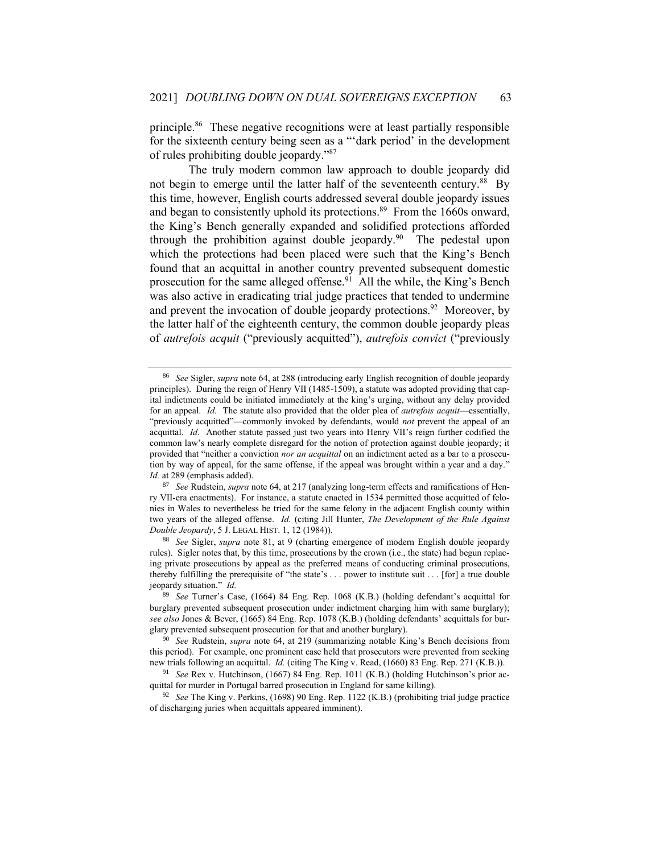principle.<sup>86</sup> These negative recognitions were at least partially responsible for the sixteenth century being seen as a "'dark period' in the development of rules prohibiting double jeopardy." 87

The truly modern common law approach to double jeopardy did not begin to emerge until the latter half of the seventeenth century.<sup>88</sup> By this time, however, English courts addressed several double jeopardy issues and began to consistently uphold its protections.<sup>89</sup> From the 1660s onward, the King's Bench generally expanded and solidified protections afforded through the prohibition against double jeopardy.<sup>90</sup> The pedestal upon which the protections had been placed were such that the King's Bench found that an acquittal in another country prevented subsequent domestic prosecution for the same alleged offense.<sup>91</sup> All the while, the King's Bench was also active in eradicating trial judge practices that tended to undermine and prevent the invocation of double jeopardy protections.<sup>92</sup> Moreover, by the latter half of the eighteenth century, the common double jeopardy pleas of *autrefois acquit* ("previously acquitted"), *autrefois convict* ("previously

<sup>88</sup> *See* Sigler, *supra* note 81, at 9 (charting emergence of modern English double jeopardy rules). Sigler notes that, by this time, prosecutions by the crown (i.e., the state) had begun replacing private prosecutions by appeal as the preferred means of conducting criminal prosecutions, thereby fulfilling the prerequisite of "the state's . . . power to institute suit . . . [for] a true double jeopardy situation." *Id.* 

<sup>86</sup> *See* Sigler, *supra* note 64, at 288 (introducing early English recognition of double jeopardy principles). During the reign of Henry VII (1485-1509), a statute was adopted providing that capital indictments could be initiated immediately at the king's urging, without any delay provided for an appeal. *Id.* The statute also provided that the older plea of *autrefois acquit*—essentially, "previously acquitted"—commonly invoked by defendants, would *not* prevent the appeal of an acquittal. *Id.* Another statute passed just two years into Henry VII's reign further codified the common law's nearly complete disregard for the notion of protection against double jeopardy; it provided that "neither a conviction *nor an acquittal* on an indictment acted as a bar to a prosecution by way of appeal, for the same offense, if the appeal was brought within a year and a day." *Id.* at 289 (emphasis added).

<sup>87</sup> *See* Rudstein, *supra* note 64, at 217 (analyzing long-term effects and ramifications of Henry VII-era enactments). For instance, a statute enacted in 1534 permitted those acquitted of felonies in Wales to nevertheless be tried for the same felony in the adjacent English county within two years of the alleged offense. *Id.* (citing Jill Hunter, *The Development of the Rule Against Double Jeopardy*, 5 J. LEGAL HIST. 1, 12 (1984)).

<sup>89</sup> *See* Turner's Case, (1664) 84 Eng. Rep. 1068 (K.B.) (holding defendant's acquittal for burglary prevented subsequent prosecution under indictment charging him with same burglary); *see also* Jones & Bever, (1665) 84 Eng. Rep. 1078 (K.B.) (holding defendants' acquittals for burglary prevented subsequent prosecution for that and another burglary).

<sup>90</sup> *See* Rudstein, *supra* note 64, at 219 (summarizing notable King's Bench decisions from this period). For example, one prominent case held that prosecutors were prevented from seeking new trials following an acquittal. *Id.* (citing The King v. Read, (1660) 83 Eng. Rep. 271 (K.B.)).

<sup>91</sup> *See* Rex v. Hutchinson, (1667) 84 Eng. Rep. 1011 (K.B.) (holding Hutchinson's prior acquittal for murder in Portugal barred prosecution in England for same killing).

<sup>92</sup> *See* The King v. Perkins, (1698) 90 Eng. Rep. 1122 (K.B.) (prohibiting trial judge practice of discharging juries when acquittals appeared imminent).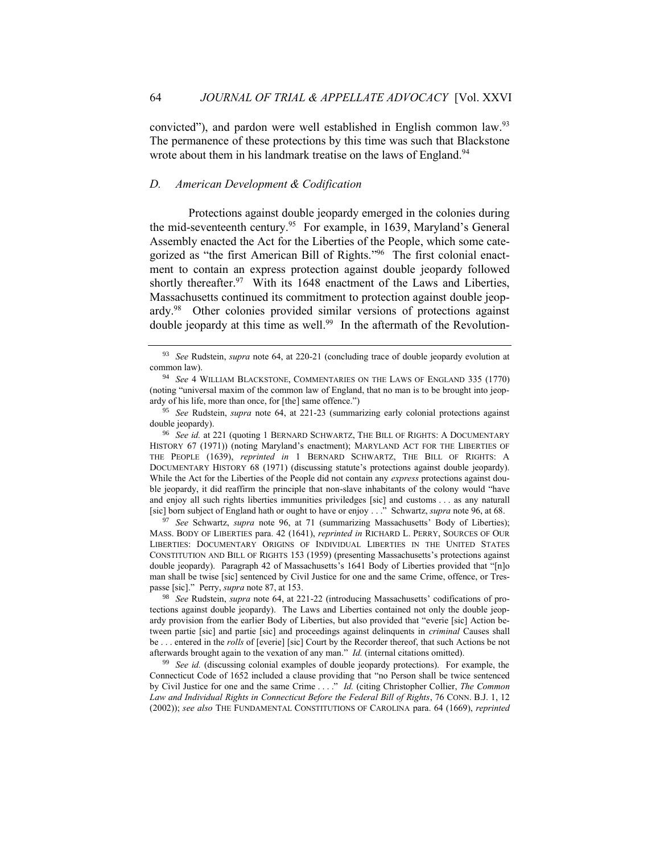convicted"), and pardon were well established in English common law.<sup>93</sup> The permanence of these protections by this time was such that Blackstone wrote about them in his landmark treatise on the laws of England.<sup>94</sup>

# *D. American Development & Codification*

Protections against double jeopardy emerged in the colonies during the mid-seventeenth century.<sup>95</sup> For example, in 1639, Maryland's General Assembly enacted the Act for the Liberties of the People, which some categorized as "the first American Bill of Rights." 96 The first colonial enactment to contain an express protection against double jeopardy followed shortly thereafter.  $97$  With its 1648 enactment of the Laws and Liberties, Massachusetts continued its commitment to protection against double jeopardy.<sup>98</sup> Other colonies provided similar versions of protections against double jeopardy at this time as well.<sup>99</sup> In the aftermath of the Revolution-

<sup>96</sup> *See id.* at 221 (quoting 1 BERNARD SCHWARTZ, THE BILL OF RIGHTS: A DOCUMENTARY HISTORY 67 (1971)) (noting Maryland's enactment); MARYLAND ACT FOR THE LIBERTIES OF THE PEOPLE (1639), *reprinted in* 1 BERNARD SCHWARTZ, THE BILL OF RIGHTS: A DOCUMENTARY HISTORY 68 (1971) (discussing statute's protections against double jeopardy). While the Act for the Liberties of the People did not contain any *express* protections against double jeopardy, it did reaffirm the principle that non-slave inhabitants of the colony would "have and enjoy all such rights liberties immunities priviledges [sic] and customs . . . as any naturall [sic] born subject of England hath or ought to have or enjoy . . ." Schwartz, *supra* note 96, at 68.

<sup>97</sup> See Schwartz, *supra* note 96, at 71 (summarizing Massachusetts' Body of Liberties); MASS. BODY OF LIBERTIES para. 42 (1641), *reprinted in* RICHARD L. PERRY, SOURCES OF OUR LIBERTIES: DOCUMENTARY ORIGINS OF INDIVIDUAL LIBERTIES IN THE UNITED STATES CONSTITUTION AND BILL OF RIGHTS 153 (1959) (presenting Massachusetts's protections against double jeopardy). Paragraph 42 of Massachusetts's 1641 Body of Liberties provided that "[n]o man shall be twise [sic] sentenced by Civil Justice for one and the same Crime, offence, or Trespasse [sic]." Perry, *supra* note 87, at 153.

<sup>98</sup> *See* Rudstein, *supra* note 64, at 221-22 (introducing Massachusetts' codifications of protections against double jeopardy). The Laws and Liberties contained not only the double jeopardy provision from the earlier Body of Liberties, but also provided that "everie [sic] Action between partie [sic] and partie [sic] and proceedings against delinquents in *criminal* Causes shall be . . . entered in the *rolls* of [everie] [sic] Court by the Recorder thereof, that such Actions be not afterwards brought again to the vexation of any man." *Id.* (internal citations omitted).

<sup>99</sup> *See id.* (discussing colonial examples of double jeopardy protections). For example, the Connecticut Code of 1652 included a clause providing that "no Person shall be twice sentenced by Civil Justice for one and the same Crime . . . ." *Id.* (citing Christopher Collier, *The Common Law and Individual Rights in Connecticut Before the Federal Bill of Rights*, 76 CONN. B.J. 1, 12 (2002)); *see also* THE FUNDAMENTAL CONSTITUTIONS OF CAROLINA para. 64 (1669), *reprinted* 

<sup>93</sup> *See* Rudstein, *supra* note 64, at 220-21 (concluding trace of double jeopardy evolution at common law).

<sup>94</sup> *See* 4 WILLIAM BLACKSTONE, COMMENTARIES ON THE LAWS OF ENGLAND 335 (1770) (noting "universal maxim of the common law of England, that no man is to be brought into jeopardy of his life, more than once, for [the] same offence.")

<sup>95</sup> *See* Rudstein, *supra* note 64, at 221-23 (summarizing early colonial protections against double jeopardy).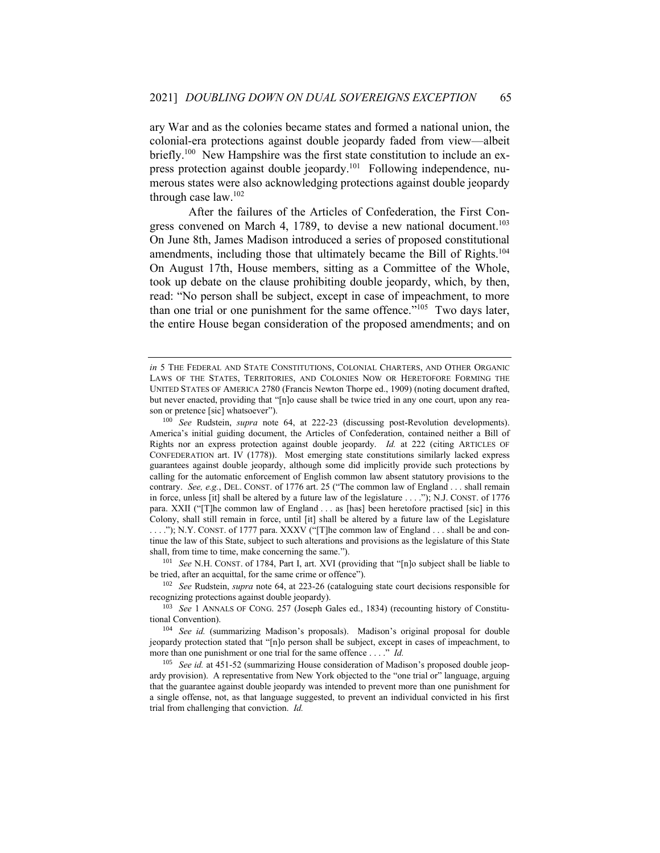ary War and as the colonies became states and formed a national union, the colonial-era protections against double jeopardy faded from view—albeit briefly.<sup>100</sup> New Hampshire was the first state constitution to include an express protection against double jeopardy.<sup>101</sup> Following independence, numerous states were also acknowledging protections against double jeopardy through case law.<sup>102</sup>

After the failures of the Articles of Confederation, the First Congress convened on March 4, 1789, to devise a new national document.<sup>103</sup> On June 8th, James Madison introduced a series of proposed constitutional amendments, including those that ultimately became the Bill of Rights.<sup>104</sup> On August 17th, House members, sitting as a Committee of the Whole, took up debate on the clause prohibiting double jeopardy, which, by then, read: "No person shall be subject, except in case of impeachment, to more than one trial or one punishment for the same offence."<sup>105</sup> Two days later, the entire House began consideration of the proposed amendments; and on

<sup>101</sup> *See* N.H. CONST. of 1784, Part I, art. XVI (providing that "[n]o subject shall be liable to be tried, after an acquittal, for the same crime or offence").

*in* 5 THE FEDERAL AND STATE CONSTITUTIONS, COLONIAL CHARTERS, AND OTHER ORGANIC LAWS OF THE STATES, TERRITORIES, AND COLONIES NOW OR HERETOFORE FORMING THE UNITED STATES OF AMERICA 2780 (Francis Newton Thorpe ed., 1909) (noting document drafted, but never enacted, providing that "[n]o cause shall be twice tried in any one court, upon any reason or pretence [sic] whatsoever").

<sup>100</sup> *See* Rudstein, *supra* note 64, at 222-23 (discussing post-Revolution developments). America's initial guiding document, the Articles of Confederation, contained neither a Bill of Rights nor an express protection against double jeopardy. *Id.* at 222 (citing ARTICLES OF CONFEDERATION art. IV (1778)). Most emerging state constitutions similarly lacked express guarantees against double jeopardy, although some did implicitly provide such protections by calling for the automatic enforcement of English common law absent statutory provisions to the contrary. *See, e.g.*, DEL. CONST. of 1776 art. 25 ("The common law of England . . . shall remain in force, unless [it] shall be altered by a future law of the legislature . . . ."); N.J. CONST. of 1776 para. XXII ("[T]he common law of England . . . as [has] been heretofore practised [sic] in this Colony, shall still remain in force, until [it] shall be altered by a future law of the Legislature . . . ."); N.Y. CONST. of 1777 para. XXXV ("[T]he common law of England . . . shall be and continue the law of this State, subject to such alterations and provisions as the legislature of this State shall, from time to time, make concerning the same.").

<sup>102</sup> *See* Rudstein, *supra* note 64, at 223-26 (cataloguing state court decisions responsible for recognizing protections against double jeopardy).

<sup>103</sup> *See* 1 ANNALS OF CONG. 257 (Joseph Gales ed., 1834) (recounting history of Constitutional Convention).

<sup>104</sup> *See id.* (summarizing Madison's proposals). Madison's original proposal for double jeopardy protection stated that "[n]o person shall be subject, except in cases of impeachment, to more than one punishment or one trial for the same offence . . . ." *Id.*

<sup>&</sup>lt;sup>105</sup> *See id.* at 451-52 (summarizing House consideration of Madison's proposed double jeopardy provision). A representative from New York objected to the "one trial or" language, arguing that the guarantee against double jeopardy was intended to prevent more than one punishment for a single offense, not, as that language suggested, to prevent an individual convicted in his first trial from challenging that conviction. *Id.*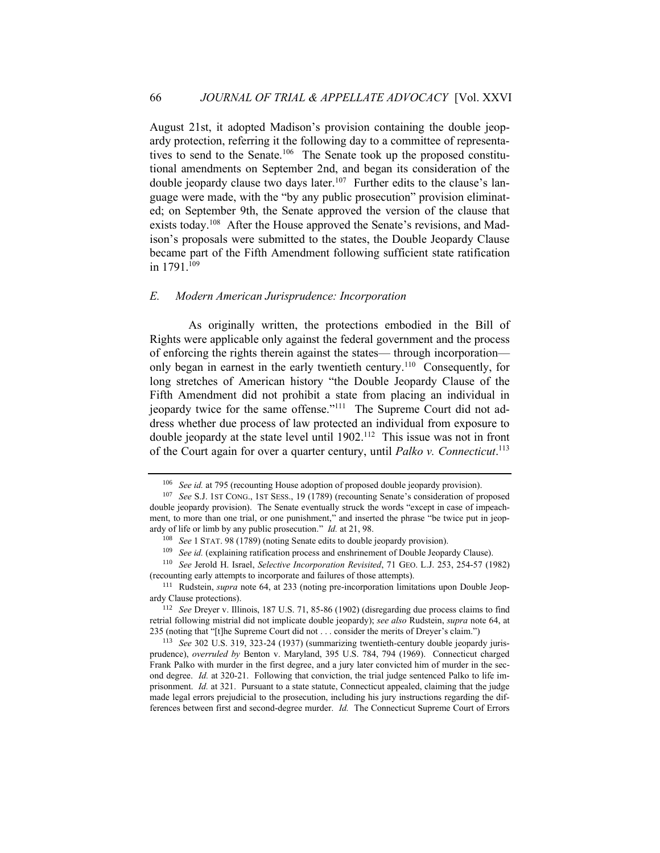August 21st, it adopted Madison's provision containing the double jeopardy protection, referring it the following day to a committee of representatives to send to the Senate.<sup>106</sup> The Senate took up the proposed constitutional amendments on September 2nd, and began its consideration of the double jeopardy clause two days later.<sup>107</sup> Further edits to the clause's language were made, with the "by any public prosecution" provision eliminated; on September 9th, the Senate approved the version of the clause that exists today.<sup>108</sup> After the House approved the Senate's revisions, and Madison's proposals were submitted to the states, the Double Jeopardy Clause became part of the Fifth Amendment following sufficient state ratification in  $1791.^{\overline{109}}$ 

#### *E. Modern American Jurisprudence: Incorporation*

As originally written, the protections embodied in the Bill of Rights were applicable only against the federal government and the process of enforcing the rights therein against the states— through incorporation only began in earnest in the early twentieth century.<sup>110</sup> Consequently, for long stretches of American history "the Double Jeopardy Clause of the Fifth Amendment did not prohibit a state from placing an individual in jeopardy twice for the same offense."<sup>111</sup> The Supreme Court did not address whether due process of law protected an individual from exposure to double jeopardy at the state level until  $1902$ .<sup>112</sup> This issue was not in front of the Court again for over a quarter century, until *Palko v. Connecticut*. 113

<sup>106</sup> *See id.* at 795 (recounting House adoption of proposed double jeopardy provision).

<sup>107</sup> *See* S.J. 1ST CONG., 1ST SESS., 19 (1789) (recounting Senate's consideration of proposed double jeopardy provision). The Senate eventually struck the words "except in case of impeachment, to more than one trial, or one punishment," and inserted the phrase "be twice put in jeopardy of life or limb by any public prosecution." *Id.* at 21, 98.

<sup>108</sup> *See* 1 STAT. 98 (1789) (noting Senate edits to double jeopardy provision).

<sup>&</sup>lt;sup>109</sup> *See id.* (explaining ratification process and enshrinement of Double Jeopardy Clause).

<sup>110</sup> *See* Jerold H. Israel, *Selective Incorporation Revisited*, 71 GEO. L.J. 253, 254-57 (1982) (recounting early attempts to incorporate and failures of those attempts).

<sup>&</sup>lt;sup>111</sup> Rudstein, *supra* note 64, at 233 (noting pre-incorporation limitations upon Double Jeopardy Clause protections).

<sup>112</sup> *See* Dreyer v. Illinois, 187 U.S. 71, 85-86 (1902) (disregarding due process claims to find retrial following mistrial did not implicate double jeopardy); *see also* Rudstein, *supra* note 64, at 235 (noting that "[t]he Supreme Court did not . . . consider the merits of Dreyer's claim.")

<sup>113</sup> *See* 302 U.S. 319, 323-24 (1937) (summarizing twentieth-century double jeopardy jurisprudence), *overruled by* Benton v. Maryland, 395 U.S. 784, 794 (1969). Connecticut charged Frank Palko with murder in the first degree, and a jury later convicted him of murder in the second degree. *Id.* at 320-21. Following that conviction, the trial judge sentenced Palko to life imprisonment. *Id.* at 321.Pursuant to a state statute, Connecticut appealed, claiming that the judge made legal errors prejudicial to the prosecution, including his jury instructions regarding the differences between first and second-degree murder. *Id.* The Connecticut Supreme Court of Errors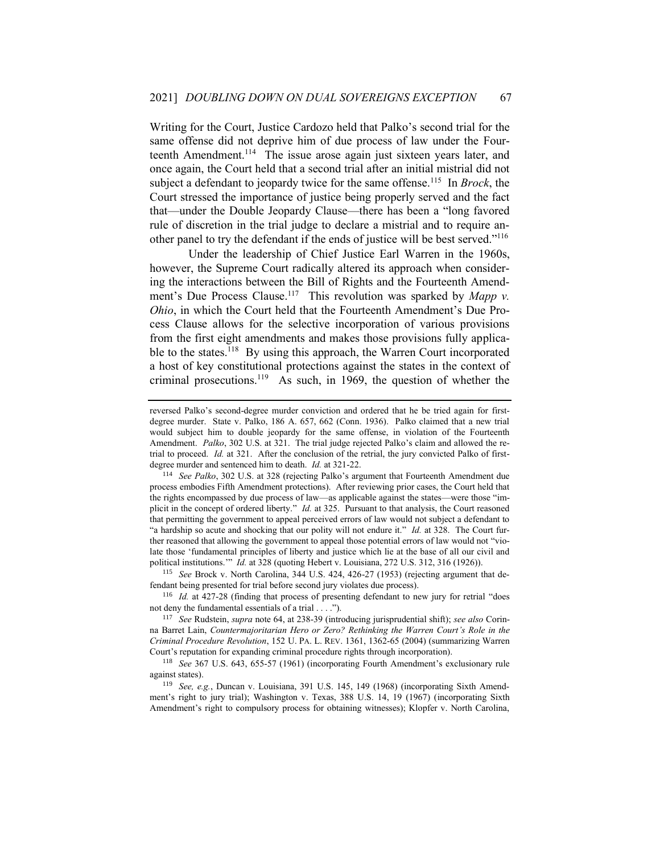Writing for the Court, Justice Cardozo held that Palko's second trial for the same offense did not deprive him of due process of law under the Fourteenth Amendment.<sup>114</sup> The issue arose again just sixteen years later, and once again, the Court held that a second trial after an initial mistrial did not subject a defendant to jeopardy twice for the same offense.<sup>115</sup> In *Brock*, the Court stressed the importance of justice being properly served and the fact that—under the Double Jeopardy Clause—there has been a "long favored rule of discretion in the trial judge to declare a mistrial and to require another panel to try the defendant if the ends of justice will be best served."<sup>116</sup>

Under the leadership of Chief Justice Earl Warren in the 1960s, however, the Supreme Court radically altered its approach when considering the interactions between the Bill of Rights and the Fourteenth Amendment's Due Process Clause.<sup>117</sup> This revolution was sparked by *Mapp v*. *Ohio*, in which the Court held that the Fourteenth Amendment's Due Process Clause allows for the selective incorporation of various provisions from the first eight amendments and makes those provisions fully applicable to the states.<sup>118</sup> By using this approach, the Warren Court incorporated a host of key constitutional protections against the states in the context of criminal prosecutions.<sup>119</sup> As such, in 1969, the question of whether the

<sup>115</sup> *See* Brock v. North Carolina, 344 U.S. 424, 426-27 (1953) (rejecting argument that defendant being presented for trial before second jury violates due process).

<sup>116</sup> *Id.* at 427-28 (finding that process of presenting defendant to new jury for retrial "does not deny the fundamental essentials of a trial . . . .").

<sup>117</sup> *See* Rudstein, *supra* note 64, at 238-39 (introducing jurisprudential shift); *see also* Corinna Barret Lain, *Countermajoritarian Hero or Zero? Rethinking the Warren Court's Role in the Criminal Procedure Revolution*, 152 U. PA. L. REV. 1361, 1362-65 (2004) (summarizing Warren Court's reputation for expanding criminal procedure rights through incorporation).

<sup>118</sup> *See* 367 U.S. 643, 655-57 (1961) (incorporating Fourth Amendment's exclusionary rule against states).

<sup>119</sup> *See, e.g.*, Duncan v. Louisiana, 391 U.S. 145, 149 (1968) (incorporating Sixth Amendment's right to jury trial); Washington v. Texas, 388 U.S. 14, 19 (1967) (incorporating Sixth Amendment's right to compulsory process for obtaining witnesses); Klopfer v. North Carolina,

reversed Palko's second-degree murder conviction and ordered that he be tried again for firstdegree murder. State v. Palko, 186 A. 657, 662 (Conn. 1936). Palko claimed that a new trial would subject him to double jeopardy for the same offense, in violation of the Fourteenth Amendment. *Palko*, 302 U.S. at 321. The trial judge rejected Palko's claim and allowed the retrial to proceed. *Id.* at 321. After the conclusion of the retrial, the jury convicted Palko of firstdegree murder and sentenced him to death. *Id.* at 321-22.

<sup>114</sup> *See Palko*, 302 U.S. at 328 (rejecting Palko's argument that Fourteenth Amendment due process embodies Fifth Amendment protections). After reviewing prior cases, the Court held that the rights encompassed by due process of law—as applicable against the states—were those "implicit in the concept of ordered liberty." *Id.* at 325. Pursuant to that analysis, the Court reasoned that permitting the government to appeal perceived errors of law would not subject a defendant to "a hardship so acute and shocking that our polity will not endure it." *Id.* at 328. The Court further reasoned that allowing the government to appeal those potential errors of law would not "violate those 'fundamental principles of liberty and justice which lie at the base of all our civil and political institutions." *Id.* at 328 (quoting Hebert v. Louisiana, 272 U.S. 312, 316 (1926)).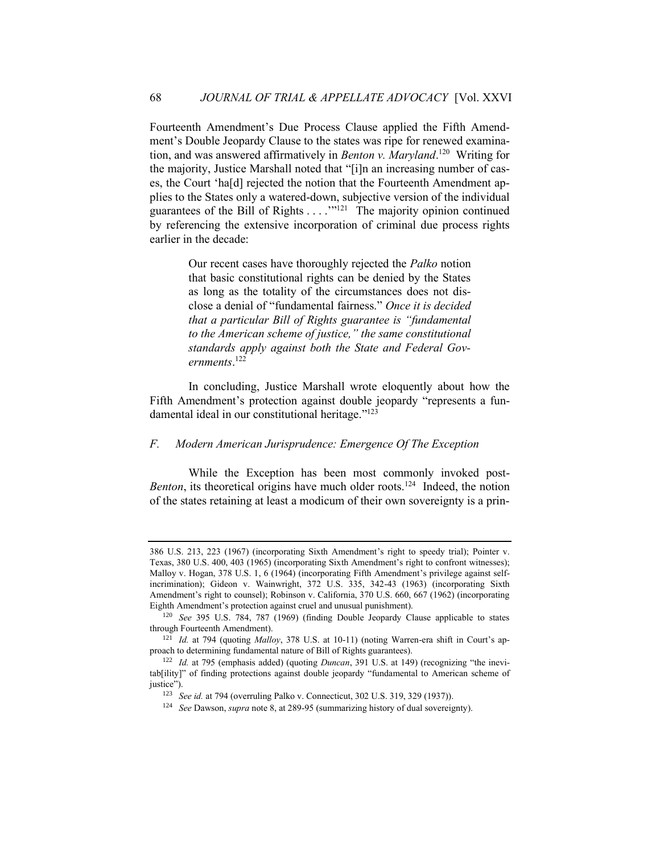Fourteenth Amendment's Due Process Clause applied the Fifth Amendment's Double Jeopardy Clause to the states was ripe for renewed examination, and was answered affirmatively in *Benton v. Maryland*. 120 Writing for the majority, Justice Marshall noted that "[i]n an increasing number of cases, the Court 'ha[d] rejected the notion that the Fourteenth Amendment applies to the States only a watered-down, subjective version of the individual guarantees of the Bill of Rights  $\dots$ <sup>"121</sup> The majority opinion continued by referencing the extensive incorporation of criminal due process rights earlier in the decade:

> Our recent cases have thoroughly rejected the *Palko* notion that basic constitutional rights can be denied by the States as long as the totality of the circumstances does not disclose a denial of "fundamental fairness." *Once it is decided that a particular Bill of Rights guarantee is "fundamental to the American scheme of justice," the same constitutional standards apply against both the State and Federal Governments*. 122

In concluding, Justice Marshall wrote eloquently about how the Fifth Amendment's protection against double jeopardy "represents a fundamental ideal in our constitutional heritage."<sup>123</sup>

#### *F. Modern American Jurisprudence: Emergence Of The Exception*

While the Exception has been most commonly invoked post-Benton, its theoretical origins have much older roots.<sup>124</sup> Indeed, the notion of the states retaining at least a modicum of their own sovereignty is a prin-

<sup>386</sup> U.S. 213, 223 (1967) (incorporating Sixth Amendment's right to speedy trial); Pointer v. Texas, 380 U.S. 400, 403 (1965) (incorporating Sixth Amendment's right to confront witnesses); Malloy v. Hogan, 378 U.S. 1, 6 (1964) (incorporating Fifth Amendment's privilege against selfincrimination); Gideon v. Wainwright, 372 U.S. 335, 342-43 (1963) (incorporating Sixth Amendment's right to counsel); Robinson v. California, 370 U.S. 660, 667 (1962) (incorporating Eighth Amendment's protection against cruel and unusual punishment).

<sup>120</sup> *See* 395 U.S. 784, 787 (1969) (finding Double Jeopardy Clause applicable to states through Fourteenth Amendment).

<sup>121</sup> *Id.* at 794 (quoting *Malloy*, 378 U.S. at 10-11) (noting Warren-era shift in Court's approach to determining fundamental nature of Bill of Rights guarantees).

<sup>122</sup> *Id.* at 795 (emphasis added) (quoting *Duncan*, 391 U.S. at 149) (recognizing "the inevitab[ility]" of finding protections against double jeopardy "fundamental to American scheme of justice").

<sup>123</sup> *See id.* at 794 (overruling Palko v. Connecticut, 302 U.S. 319, 329 (1937)).

<sup>124</sup> *See* Dawson, *supra* note 8, at 289-95 (summarizing history of dual sovereignty).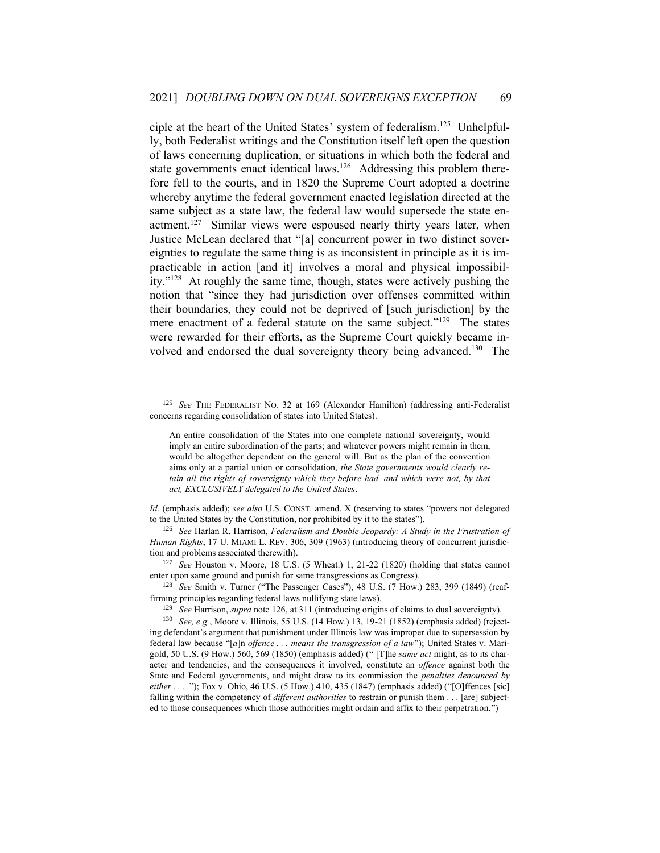ciple at the heart of the United States' system of federalism.<sup>125</sup> Unhelpfully, both Federalist writings and the Constitution itself left open the question of laws concerning duplication, or situations in which both the federal and state governments enact identical laws.<sup>126</sup> Addressing this problem therefore fell to the courts, and in 1820 the Supreme Court adopted a doctrine whereby anytime the federal government enacted legislation directed at the same subject as a state law, the federal law would supersede the state enactment.<sup>127</sup> Similar views were espoused nearly thirty years later, when Justice McLean declared that "[a] concurrent power in two distinct sovereignties to regulate the same thing is as inconsistent in principle as it is impracticable in action [and it] involves a moral and physical impossibility." 128 At roughly the same time, though, states were actively pushing the notion that "since they had jurisdiction over offenses committed within their boundaries, they could not be deprived of [such jurisdiction] by the mere enactment of a federal statute on the same subject."<sup>129</sup> The states were rewarded for their efforts, as the Supreme Court quickly became involved and endorsed the dual sovereignty theory being advanced.<sup>130</sup> The

<sup>127</sup> *See* Houston v. Moore, 18 U.S. (5 Wheat.) 1, 21-22 (1820) (holding that states cannot enter upon same ground and punish for same transgressions as Congress).

<sup>128</sup> *See* Smith v. Turner ("The Passenger Cases"), 48 U.S. (7 How.) 283, 399 (1849) (reaffirming principles regarding federal laws nullifying state laws).

<sup>130</sup> *See, e.g.*, Moore v. Illinois, 55 U.S. (14 How.) 13, 19-21 (1852) (emphasis added) (rejecting defendant's argument that punishment under Illinois law was improper due to supersession by federal law because "[*a*]n *offence . . . means the transgression of a law*"); United States v. Marigold, 50 U.S. (9 How.) 560, 569 (1850) (emphasis added) (" [T]he *same act* might, as to its character and tendencies, and the consequences it involved, constitute an *offence* against both the State and Federal governments, and might draw to its commission the *penalties denounced by either . . . .*"); Fox v. Ohio, 46 U.S. (5 How.) 410, 435 (1847) (emphasis added) ("[O]ffences [sic] falling within the competency of *different authorities* to restrain or punish them . . . [are] subjected to those consequences which those authorities might ordain and affix to their perpetration.")

<sup>125</sup> *See* THE FEDERALIST NO. 32 at 169 (Alexander Hamilton) (addressing anti-Federalist concerns regarding consolidation of states into United States).

An entire consolidation of the States into one complete national sovereignty, would imply an entire subordination of the parts; and whatever powers might remain in them, would be altogether dependent on the general will. But as the plan of the convention aims only at a partial union or consolidation, *the State governments would clearly retain all the rights of sovereignty which they before had, and which were not, by that act, EXCLUSIVELY delegated to the United States*.

*Id.* (emphasis added); *see also* U.S. CONST. amend. X (reserving to states "powers not delegated to the United States by the Constitution, nor prohibited by it to the states").

<sup>126</sup> *See* Harlan R. Harrison, *Federalism and Double Jeopardy: A Study in the Frustration of Human Rights*, 17 U. MIAMI L. REV. 306, 309 (1963) (introducing theory of concurrent jurisdiction and problems associated therewith).

<sup>129</sup> *See* Harrison, *supra* note 126, at 311 (introducing origins of claims to dual sovereignty).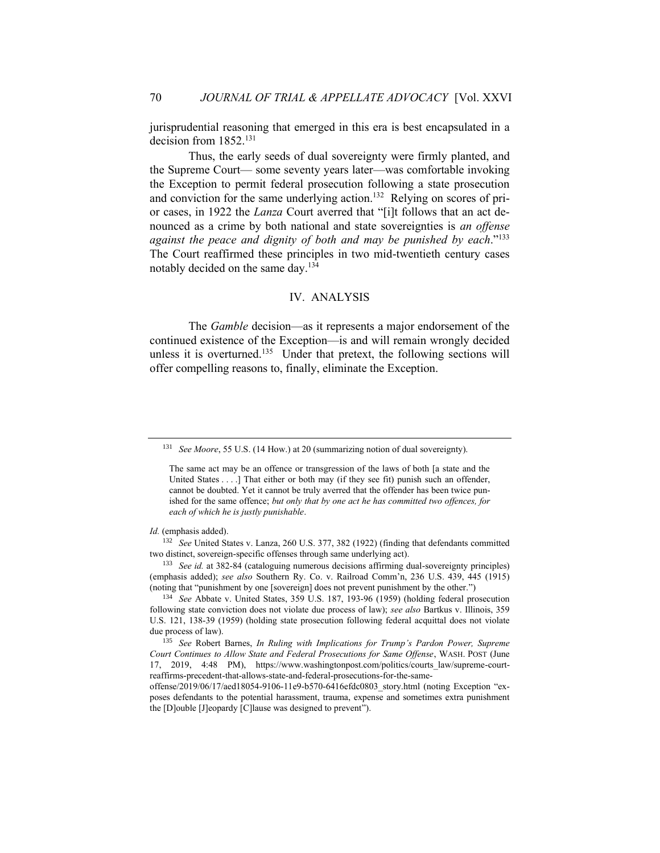jurisprudential reasoning that emerged in this era is best encapsulated in a decision from 1852.<sup>131</sup>

Thus, the early seeds of dual sovereignty were firmly planted, and the Supreme Court— some seventy years later—was comfortable invoking the Exception to permit federal prosecution following a state prosecution and conviction for the same underlying action.<sup>132</sup> Relying on scores of prior cases, in 1922 the *Lanza* Court averred that "[i]t follows that an act denounced as a crime by both national and state sovereignties is *an offense against the peace and dignity of both and may be punished by each*." 133 The Court reaffirmed these principles in two mid-twentieth century cases notably decided on the same day.<sup>134</sup>

# IV. ANALYSIS

The *Gamble* decision—as it represents a major endorsement of the continued existence of the Exception—is and will remain wrongly decided unless it is overturned.<sup>135</sup> Under that pretext, the following sections will offer compelling reasons to, finally, eliminate the Exception.

<sup>132</sup> *See* United States v. Lanza, 260 U.S. 377, 382 (1922) (finding that defendants committed two distinct, sovereign-specific offenses through same underlying act).

<sup>133</sup> *See id.* at 382-84 (cataloguing numerous decisions affirming dual-sovereignty principles) (emphasis added); *see also* Southern Ry. Co. v. Railroad Comm'n, 236 U.S. 439, 445 (1915) (noting that "punishment by one [sovereign] does not prevent punishment by the other.")

<sup>131</sup> *See Moore*, 55 U.S. (14 How.) at 20 (summarizing notion of dual sovereignty).

The same act may be an offence or transgression of the laws of both [a state and the United States . . . .] That either or both may (if they see fit) punish such an offender, cannot be doubted. Yet it cannot be truly averred that the offender has been twice punished for the same offence; *but only that by one act he has committed two offences, for each of which he is justly punishable*.

*Id.* (emphasis added).

<sup>134</sup> *See* Abbate v. United States, 359 U.S. 187, 193-96 (1959) (holding federal prosecution following state conviction does not violate due process of law); *see also* Bartkus v. Illinois, 359 U.S. 121, 138-39 (1959) (holding state prosecution following federal acquittal does not violate due process of law).

<sup>135</sup> *See* Robert Barnes, *In Ruling with Implications for Trump's Pardon Power, Supreme Court Continues to Allow State and Federal Prosecutions for Same Offense*, WASH. POST (June 17, 2019, 4:48 PM), https://www.washingtonpost.com/politics/courts\_law/supreme-courtreaffirms-precedent-that-allows-state-and-federal-prosecutions-for-the-same-

offense/2019/06/17/aed18054-9106-11e9-b570-6416efdc0803\_story.html (noting Exception "exposes defendants to the potential harassment, trauma, expense and sometimes extra punishment the [D]ouble [J]eopardy [C]lause was designed to prevent").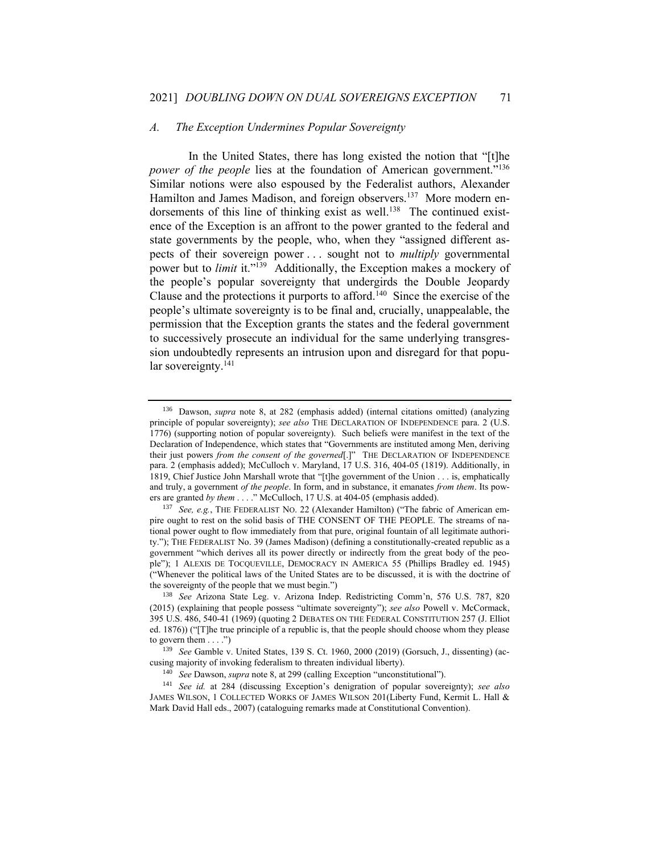#### *A. The Exception Undermines Popular Sovereignty*

In the United States, there has long existed the notion that "[t]he power of the people lies at the foundation of American government."<sup>136</sup> Similar notions were also espoused by the Federalist authors, Alexander Hamilton and James Madison, and foreign observers.<sup>137</sup> More modern endorsements of this line of thinking exist as well.<sup>138</sup> The continued existence of the Exception is an affront to the power granted to the federal and state governments by the people, who, when they "assigned different aspects of their sovereign power . . . sought not to *multiply* governmental power but to *limit* it."<sup>139</sup> Additionally, the Exception makes a mockery of the people's popular sovereignty that undergirds the Double Jeopardy Clause and the protections it purports to afford.<sup>140</sup> Since the exercise of the people's ultimate sovereignty is to be final and, crucially, unappealable, the permission that the Exception grants the states and the federal government to successively prosecute an individual for the same underlying transgression undoubtedly represents an intrusion upon and disregard for that popular sovereignty.<sup>141</sup>

<sup>136</sup> Dawson, *supra* note 8, at 282 (emphasis added) (internal citations omitted) (analyzing principle of popular sovereignty); *see also* THE DECLARATION OF INDEPENDENCE para. 2 (U.S. 1776) (supporting notion of popular sovereignty). Such beliefs were manifest in the text of the Declaration of Independence, which states that "Governments are instituted among Men, deriving their just powers *from the consent of the governed*[.]" THE DECLARATION OF INDEPENDENCE para. 2 (emphasis added); McCulloch v. Maryland, 17 U.S. 316, 404-05 (1819). Additionally, in 1819, Chief Justice John Marshall wrote that "[t]he government of the Union . . . is, emphatically and truly, a government *of the people*. In form, and in substance, it emanates *from them*. Its powers are granted *by them* . . . ." McCulloch, 17 U.S. at 404-05 (emphasis added).

<sup>&</sup>lt;sup>137</sup> *See, e.g.*, THE FEDERALIST NO. 22 (Alexander Hamilton) ("The fabric of American empire ought to rest on the solid basis of THE CONSENT OF THE PEOPLE. The streams of national power ought to flow immediately from that pure, original fountain of all legitimate authority."); THE FEDERALIST No. 39 (James Madison) (defining a constitutionally-created republic as a government "which derives all its power directly or indirectly from the great body of the people"); 1 ALEXIS DE TOCQUEVILLE, DEMOCRACY IN AMERICA 55 (Phillips Bradley ed. 1945) ("Whenever the political laws of the United States are to be discussed, it is with the doctrine of the sovereignty of the people that we must begin.")

<sup>138</sup> *See* Arizona State Leg. v. Arizona Indep. Redistricting Comm'n, 576 U.S. 787, 820 (2015) (explaining that people possess "ultimate sovereignty"); *see also* Powell v. McCormack, 395 U.S. 486, 540-41 (1969) (quoting 2 DEBATES ON THE FEDERAL CONSTITUTION 257 (J. Elliot ed. 1876)) ("[T]he true principle of a republic is, that the people should choose whom they please to govern them  $\dots$ .")

<sup>139</sup> *See* Gamble v. United States, 139 S. Ct. 1960, 2000 (2019) (Gorsuch, J., dissenting) (accusing majority of invoking federalism to threaten individual liberty).

<sup>140</sup> *See* Dawson, *supra* note 8, at 299 (calling Exception "unconstitutional").

<sup>141</sup> *See id.* at 284 (discussing Exception's denigration of popular sovereignty); *see also* JAMES WILSON, 1 COLLECTED WORKS OF JAMES WILSON 201(Liberty Fund, Kermit L. Hall & Mark David Hall eds., 2007) (cataloguing remarks made at Constitutional Convention).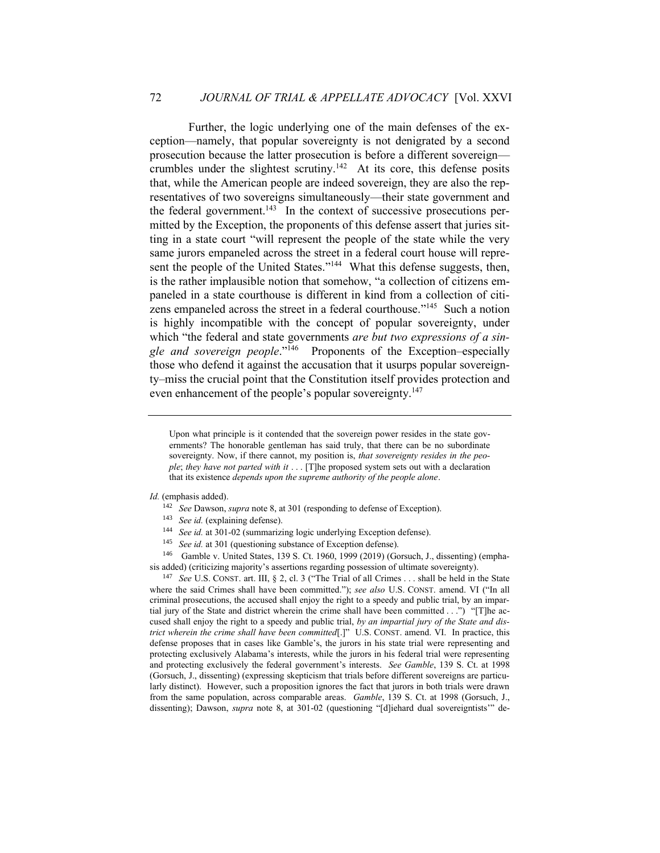Further, the logic underlying one of the main defenses of the exception—namely, that popular sovereignty is not denigrated by a second prosecution because the latter prosecution is before a different sovereign crumbles under the slightest scrutiny.<sup>142</sup> At its core, this defense posits that, while the American people are indeed sovereign, they are also the representatives of two sovereigns simultaneously—their state government and the federal government.<sup>143</sup> In the context of successive prosecutions permitted by the Exception, the proponents of this defense assert that juries sitting in a state court "will represent the people of the state while the very same jurors empaneled across the street in a federal court house will represent the people of the United States."<sup>144</sup> What this defense suggests, then, is the rather implausible notion that somehow, "a collection of citizens empaneled in a state courthouse is different in kind from a collection of citizens empaneled across the street in a federal courthouse."<sup>145</sup> Such a notion is highly incompatible with the concept of popular sovereignty, under which "the federal and state governments *are but two expressions of a single and sovereign people*." 146 Proponents of the Exception–especially those who defend it against the accusation that it usurps popular sovereignty–miss the crucial point that the Constitution itself provides protection and even enhancement of the people's popular sovereignty.<sup>147</sup>

- <sup>142</sup> *See* Dawson, *supra* note 8, at 301 (responding to defense of Exception).
- <sup>143</sup> *See id.* (explaining defense).
- <sup>144</sup> *See id.* at 301-02 (summarizing logic underlying Exception defense).
- <sup>145</sup> *See id.* at 301 (questioning substance of Exception defense).

<sup>146</sup> Gamble v. United States, 139 S. Ct. 1960, 1999 (2019) (Gorsuch, J., dissenting) (emphasis added) (criticizing majority's assertions regarding possession of ultimate sovereignty).

<sup>147</sup> *See* U.S. CONST. art. III, § 2, cl. 3 ("The Trial of all Crimes . . . shall be held in the State where the said Crimes shall have been committed."); *see also* U.S. CONST. amend. VI ("In all criminal prosecutions, the accused shall enjoy the right to a speedy and public trial, by an impartial jury of the State and district wherein the crime shall have been committed . . .") "[T]he accused shall enjoy the right to a speedy and public trial, *by an impartial jury of the State and district wherein the crime shall have been committed*[.]" U.S. CONST. amend. VI. In practice, this defense proposes that in cases like Gamble's, the jurors in his state trial were representing and protecting exclusively Alabama's interests, while the jurors in his federal trial were representing and protecting exclusively the federal government's interests. *See Gamble*, 139 S. Ct. at 1998 (Gorsuch, J., dissenting) (expressing skepticism that trials before different sovereigns are particularly distinct). However, such a proposition ignores the fact that jurors in both trials were drawn from the same population, across comparable areas. *Gamble*, 139 S. Ct. at 1998 (Gorsuch, J., dissenting); Dawson, *supra* note 8, at 301-02 (questioning "[d]iehard dual sovereigntists" de-

Upon what principle is it contended that the sovereign power resides in the state governments? The honorable gentleman has said truly, that there can be no subordinate sovereignty. Now, if there cannot, my position is, *that sovereignty resides in the people*; *they have not parted with it* . . . [T]he proposed system sets out with a declaration that its existence *depends upon the supreme authority of the people alone*.

*Id.* (emphasis added).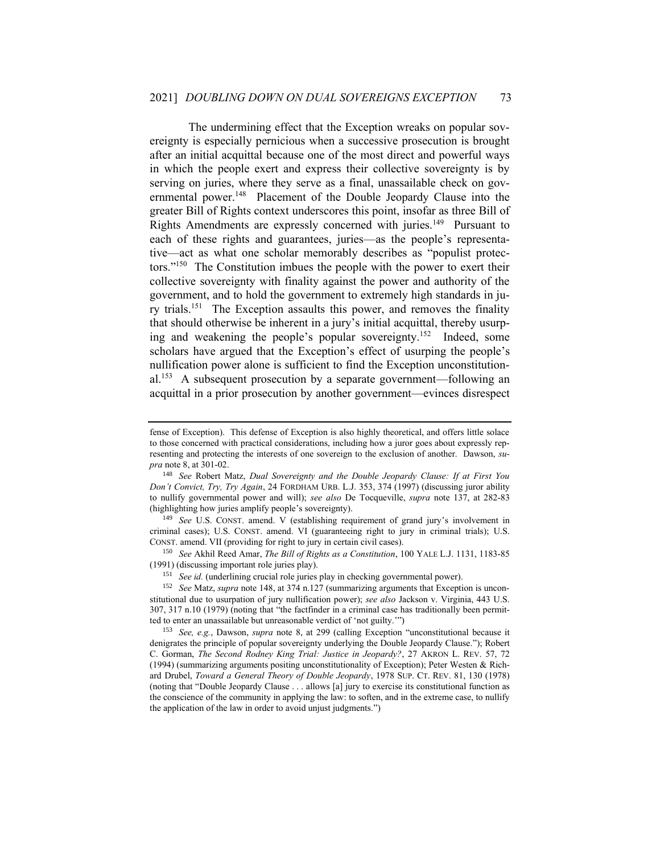The undermining effect that the Exception wreaks on popular sovereignty is especially pernicious when a successive prosecution is brought after an initial acquittal because one of the most direct and powerful ways in which the people exert and express their collective sovereignty is by serving on juries, where they serve as a final, unassailable check on governmental power.<sup>148</sup> Placement of the Double Jeopardy Clause into the greater Bill of Rights context underscores this point, insofar as three Bill of Rights Amendments are expressly concerned with juries.<sup>149</sup> Pursuant to each of these rights and guarantees, juries—as the people's representative—act as what one scholar memorably describes as "populist protectors." 150 The Constitution imbues the people with the power to exert their collective sovereignty with finality against the power and authority of the government, and to hold the government to extremely high standards in jury trials.<sup>151</sup> The Exception assaults this power, and removes the finality that should otherwise be inherent in a jury's initial acquittal, thereby usurping and weakening the people's popular sovereignty.<sup>152</sup> Indeed, some scholars have argued that the Exception's effect of usurping the people's nullification power alone is sufficient to find the Exception unconstitutional.<sup>153</sup> A subsequent prosecution by a separate government—following an acquittal in a prior prosecution by another government—evinces disrespect

<sup>150</sup> *See* Akhil Reed Amar, *The Bill of Rights as a Constitution*, 100 YALE L.J. 1131, 1183-85 (1991) (discussing important role juries play).

<sup>151</sup> *See id.* (underlining crucial role juries play in checking governmental power).

<sup>152</sup> *See* Matz, *supra* note 148, at 374 n.127 (summarizing arguments that Exception is unconstitutional due to usurpation of jury nullification power); *see also* Jackson v. Virginia, 443 U.S. 307, 317 n.10 (1979) (noting that "the factfinder in a criminal case has traditionally been permitted to enter an unassailable but unreasonable verdict of 'not guilty.'")

<sup>153</sup> *See, e.g.*, Dawson, *supra* note 8, at 299 (calling Exception "unconstitutional because it denigrates the principle of popular sovereignty underlying the Double Jeopardy Clause."); Robert C. Gorman, *The Second Rodney King Trial: Justice in Jeopardy?*, 27 AKRON L. REV. 57, 72 (1994) (summarizing arguments positing unconstitutionality of Exception); Peter Westen & Richard Drubel, *Toward a General Theory of Double Jeopardy*, 1978 SUP. CT. REV. 81, 130 (1978) (noting that "Double Jeopardy Clause . . . allows [a] jury to exercise its constitutional function as the conscience of the community in applying the law: to soften, and in the extreme case, to nullify the application of the law in order to avoid unjust judgments.")

fense of Exception). This defense of Exception is also highly theoretical, and offers little solace to those concerned with practical considerations, including how a juror goes about expressly representing and protecting the interests of one sovereign to the exclusion of another. Dawson, *supra* note 8, at 301-02.

<sup>148</sup> *See* Robert Matz, *Dual Sovereignty and the Double Jeopardy Clause: If at First You Don't Convict, Try, Try Again*, 24 FORDHAM URB. L.J. 353, 374 (1997) (discussing juror ability to nullify governmental power and will); *see also* De Tocqueville, *supra* note 137, at 282-83 (highlighting how juries amplify people's sovereignty).

<sup>149</sup> *See* U.S. CONST. amend. V (establishing requirement of grand jury's involvement in criminal cases); U.S. CONST. amend. VI (guaranteeing right to jury in criminal trials); U.S. CONST. amend. VII (providing for right to jury in certain civil cases).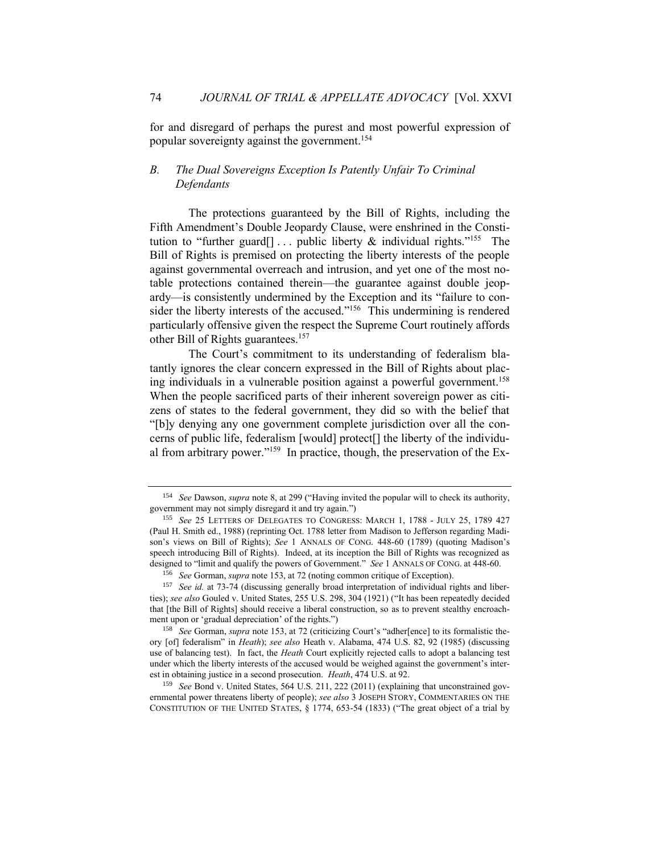for and disregard of perhaps the purest and most powerful expression of popular sovereignty against the government.<sup>154</sup>

# *B. The Dual Sovereigns Exception Is Patently Unfair To Criminal Defendants*

The protections guaranteed by the Bill of Rights, including the Fifth Amendment's Double Jeopardy Clause, were enshrined in the Constitution to "further guard<sup>[]</sup>... public liberty  $\&$  individual rights."<sup>155</sup> The Bill of Rights is premised on protecting the liberty interests of the people against governmental overreach and intrusion, and yet one of the most notable protections contained therein—the guarantee against double jeopardy—is consistently undermined by the Exception and its "failure to consider the liberty interests of the accused."<sup>156</sup> This undermining is rendered particularly offensive given the respect the Supreme Court routinely affords other Bill of Rights guarantees.<sup>157</sup>

The Court's commitment to its understanding of federalism blatantly ignores the clear concern expressed in the Bill of Rights about placing individuals in a vulnerable position against a powerful government. 158 When the people sacrificed parts of their inherent sovereign power as citizens of states to the federal government, they did so with the belief that "[b]y denying any one government complete jurisdiction over all the concerns of public life, federalism [would] protect[] the liberty of the individual from arbitrary power."<sup>159</sup> In practice, though, the preservation of the Ex-

<sup>159</sup> *See* Bond v. United States, 564 U.S. 211, 222 (2011) (explaining that unconstrained governmental power threatens liberty of people); *see also* 3 JOSEPH STORY, COMMENTARIES ON THE CONSTITUTION OF THE UNITED STATES, § 1774, 653-54 (1833) ("The great object of a trial by

<sup>154</sup> *See* Dawson, *supra* note 8, at 299 ("Having invited the popular will to check its authority, government may not simply disregard it and try again.")

<sup>155</sup> *See* 25 LETTERS OF DELEGATES TO CONGRESS: MARCH 1, 1788 - JULY 25, 1789 427 (Paul H. Smith ed., 1988) (reprinting Oct. 1788 letter from Madison to Jefferson regarding Madison's views on Bill of Rights); *See* 1 ANNALS OF CONG. 448-60 (1789) (quoting Madison's speech introducing Bill of Rights). Indeed, at its inception the Bill of Rights was recognized as designed to "limit and qualify the powers of Government." *See* 1 ANNALS OF CONG. at 448-60.

<sup>156</sup> *See* Gorman, *supra* note 153, at 72 (noting common critique of Exception).

<sup>157</sup> *See id.* at 73-74 (discussing generally broad interpretation of individual rights and liberties); *see also* Gouled v. United States, 255 U.S. 298, 304 (1921) ("It has been repeatedly decided that [the Bill of Rights] should receive a liberal construction, so as to prevent stealthy encroachment upon or 'gradual depreciation' of the rights.")

<sup>158</sup> *See* Gorman, *supra* note 153, at 72 (criticizing Court's "adher[ence] to its formalistic theory [of] federalism" in *Heath*); *see also* Heath v. Alabama, 474 U.S. 82, 92 (1985) (discussing use of balancing test). In fact, the *Heath* Court explicitly rejected calls to adopt a balancing test under which the liberty interests of the accused would be weighed against the government's interest in obtaining justice in a second prosecution. *Heath*, 474 U.S. at 92.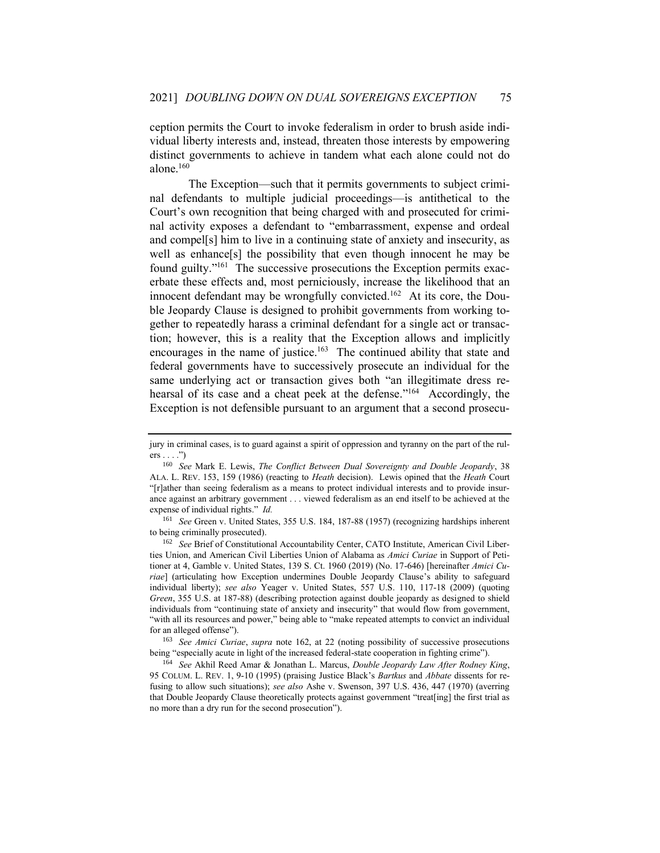ception permits the Court to invoke federalism in order to brush aside individual liberty interests and, instead, threaten those interests by empowering distinct governments to achieve in tandem what each alone could not do alone. 160

The Exception—such that it permits governments to subject criminal defendants to multiple judicial proceedings—is antithetical to the Court's own recognition that being charged with and prosecuted for criminal activity exposes a defendant to "embarrassment, expense and ordeal and compel[s] him to live in a continuing state of anxiety and insecurity, as well as enhance[s] the possibility that even though innocent he may be found guilty."<sup>161</sup> The successive prosecutions the Exception permits exacerbate these effects and, most perniciously, increase the likelihood that an innocent defendant may be wrongfully convicted.<sup>162</sup> At its core, the Double Jeopardy Clause is designed to prohibit governments from working together to repeatedly harass a criminal defendant for a single act or transaction; however, this is a reality that the Exception allows and implicitly encourages in the name of justice.<sup>163</sup> The continued ability that state and federal governments have to successively prosecute an individual for the same underlying act or transaction gives both "an illegitimate dress rehearsal of its case and a cheat peek at the defense."<sup>164</sup> Accordingly, the Exception is not defensible pursuant to an argument that a second prosecu-

jury in criminal cases, is to guard against a spirit of oppression and tyranny on the part of the rul $ers \dots$ ")

<sup>160</sup> *See* Mark E. Lewis, *The Conflict Between Dual Sovereignty and Double Jeopardy*, 38 ALA. L. REV. 153, 159 (1986) (reacting to *Heath* decision). Lewis opined that the *Heath* Court "[r]ather than seeing federalism as a means to protect individual interests and to provide insurance against an arbitrary government . . . viewed federalism as an end itself to be achieved at the expense of individual rights." *Id.*

<sup>161</sup> *See* Green v. United States, 355 U.S. 184, 187-88 (1957) (recognizing hardships inherent to being criminally prosecuted).

<sup>162</sup> *See* Brief of Constitutional Accountability Center, CATO Institute, American Civil Liberties Union, and American Civil Liberties Union of Alabama as *Amici Curiae* in Support of Petitioner at 4, Gamble v. United States, 139 S. Ct. 1960 (2019) (No. 17-646) [hereinafter *Amici Curiae*] (articulating how Exception undermines Double Jeopardy Clause's ability to safeguard individual liberty); *see also* Yeager v. United States, 557 U.S. 110, 117-18 (2009) (quoting *Green*, 355 U.S. at 187-88) (describing protection against double jeopardy as designed to shield individuals from "continuing state of anxiety and insecurity" that would flow from government, "with all its resources and power," being able to "make repeated attempts to convict an individual for an alleged offense").

<sup>163</sup> *See Amici Curiae*, *supra* note 162, at 22 (noting possibility of successive prosecutions being "especially acute in light of the increased federal-state cooperation in fighting crime").

<sup>164</sup> *See* Akhil Reed Amar & Jonathan L. Marcus, *Double Jeopardy Law After Rodney King*, 95 COLUM. L. REV. 1, 9-10 (1995) (praising Justice Black's *Bartkus* and *Abbate* dissents for refusing to allow such situations); *see also* Ashe v. Swenson, 397 U.S. 436, 447 (1970) (averring that Double Jeopardy Clause theoretically protects against government "treat[ing] the first trial as no more than a dry run for the second prosecution").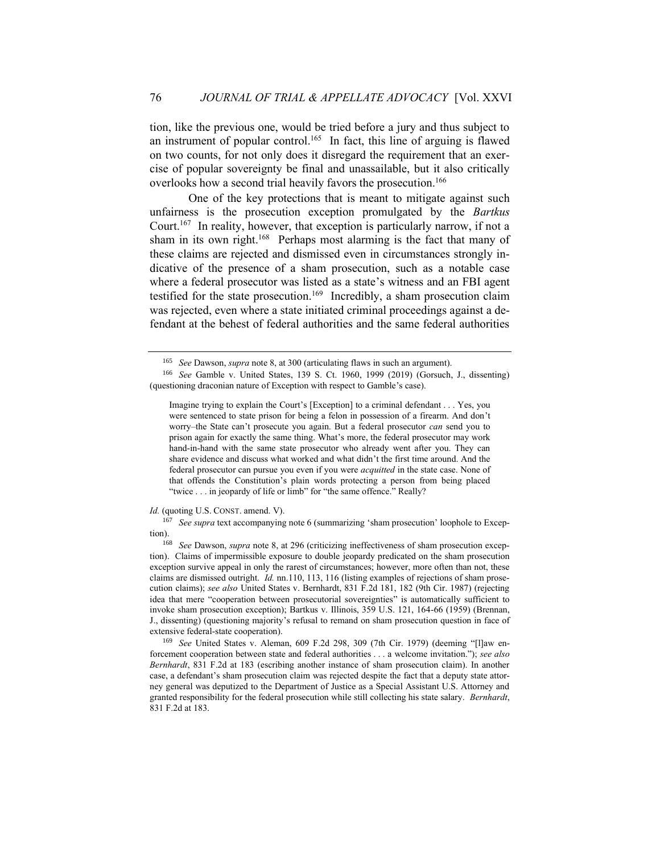tion, like the previous one, would be tried before a jury and thus subject to an instrument of popular control.<sup>165</sup> In fact, this line of arguing is flawed on two counts, for not only does it disregard the requirement that an exercise of popular sovereignty be final and unassailable, but it also critically overlooks how a second trial heavily favors the prosecution.<sup>166</sup>

One of the key protections that is meant to mitigate against such unfairness is the prosecution exception promulgated by the *Bartkus* Court.<sup>167</sup> In reality, however, that exception is particularly narrow, if not a sham in its own right.<sup>168</sup> Perhaps most alarming is the fact that many of these claims are rejected and dismissed even in circumstances strongly indicative of the presence of a sham prosecution, such as a notable case where a federal prosecutor was listed as a state's witness and an FBI agent testified for the state prosecution.<sup>169</sup> Incredibly, a sham prosecution claim was rejected, even where a state initiated criminal proceedings against a defendant at the behest of federal authorities and the same federal authorities

*Id.* (quoting U.S. CONST. amend. V).

<sup>167</sup> *See supra* text accompanying note 6 (summarizing 'sham prosecution' loophole to Exception).

<sup>165</sup> *See* Dawson, *supra* note 8, at 300 (articulating flaws in such an argument).

<sup>166</sup> *See* Gamble v. United States, 139 S. Ct. 1960, 1999 (2019) (Gorsuch, J., dissenting) (questioning draconian nature of Exception with respect to Gamble's case).

Imagine trying to explain the Court's [Exception] to a criminal defendant . . . Yes, you were sentenced to state prison for being a felon in possession of a firearm. And don't worry–the State can't prosecute you again. But a federal prosecutor *can* send you to prison again for exactly the same thing. What's more, the federal prosecutor may work hand-in-hand with the same state prosecutor who already went after you. They can share evidence and discuss what worked and what didn't the first time around. And the federal prosecutor can pursue you even if you were *acquitted* in the state case. None of that offends the Constitution's plain words protecting a person from being placed "twice . . . in jeopardy of life or limb" for "the same offence." Really?

<sup>168</sup> *See* Dawson, *supra* note 8, at 296 (criticizing ineffectiveness of sham prosecution exception). Claims of impermissible exposure to double jeopardy predicated on the sham prosecution exception survive appeal in only the rarest of circumstances; however, more often than not, these claims are dismissed outright. *Id.* nn.110, 113, 116 (listing examples of rejections of sham prosecution claims); *see also* United States v. Bernhardt, 831 F.2d 181, 182 (9th Cir. 1987) (rejecting idea that mere "cooperation between prosecutorial sovereignties" is automatically sufficient to invoke sham prosecution exception); Bartkus v. Illinois, 359 U.S. 121, 164-66 (1959) (Brennan, J., dissenting) (questioning majority's refusal to remand on sham prosecution question in face of extensive federal-state cooperation).

<sup>169</sup> *See* United States v. Aleman, 609 F.2d 298, 309 (7th Cir. 1979) (deeming "[l]aw enforcement cooperation between state and federal authorities . . . a welcome invitation."); *see also Bernhardt*, 831 F.2d at 183 (escribing another instance of sham prosecution claim). In another case, a defendant's sham prosecution claim was rejected despite the fact that a deputy state attorney general was deputized to the Department of Justice as a Special Assistant U.S. Attorney and granted responsibility for the federal prosecution while still collecting his state salary. *Bernhardt*, 831 F.2d at 183.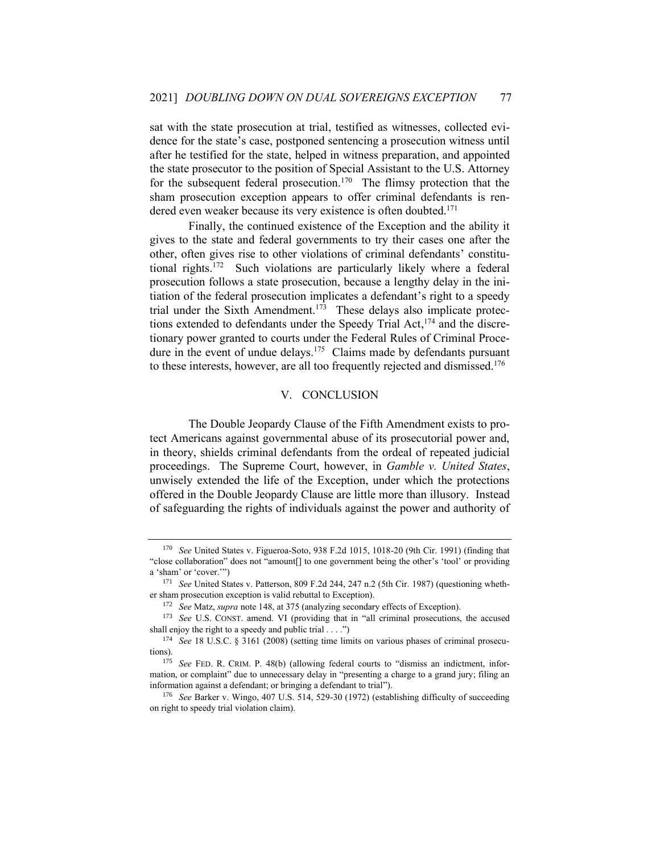sat with the state prosecution at trial, testified as witnesses, collected evidence for the state's case, postponed sentencing a prosecution witness until after he testified for the state, helped in witness preparation, and appointed the state prosecutor to the position of Special Assistant to the U.S. Attorney for the subsequent federal prosecution.<sup>170</sup> The flimsy protection that the sham prosecution exception appears to offer criminal defendants is rendered even weaker because its very existence is often doubted.<sup>171</sup>

Finally, the continued existence of the Exception and the ability it gives to the state and federal governments to try their cases one after the other, often gives rise to other violations of criminal defendants' constitutional rights.<sup>172</sup> Such violations are particularly likely where a federal prosecution follows a state prosecution, because a lengthy delay in the initiation of the federal prosecution implicates a defendant's right to a speedy trial under the Sixth Amendment.<sup>173</sup> These delays also implicate protections extended to defendants under the Speedy Trial Act,<sup>174</sup> and the discretionary power granted to courts under the Federal Rules of Criminal Procedure in the event of undue delays.<sup>175</sup> Claims made by defendants pursuant to these interests, however, are all too frequently rejected and dismissed.<sup>176</sup>

#### V. CONCLUSION

The Double Jeopardy Clause of the Fifth Amendment exists to protect Americans against governmental abuse of its prosecutorial power and, in theory, shields criminal defendants from the ordeal of repeated judicial proceedings. The Supreme Court, however, in *Gamble v. United States*, unwisely extended the life of the Exception, under which the protections offered in the Double Jeopardy Clause are little more than illusory. Instead of safeguarding the rights of individuals against the power and authority of

<sup>170</sup> *See* United States v. Figueroa-Soto, 938 F.2d 1015, 1018-20 (9th Cir. 1991) (finding that "close collaboration" does not "amount[] to one government being the other's 'tool' or providing a 'sham' or 'cover.'")

<sup>171</sup> *See* United States v. Patterson, 809 F.2d 244, 247 n.2 (5th Cir. 1987) (questioning whether sham prosecution exception is valid rebuttal to Exception).

<sup>172</sup> *See* Matz, *supra* note 148, at 375 (analyzing secondary effects of Exception).

<sup>173</sup> *See* U.S. CONST. amend. VI (providing that in "all criminal prosecutions, the accused shall enjoy the right to a speedy and public trial  $\dots$ .")

<sup>174</sup> *See* 18 U.S.C. § 3161 (2008) (setting time limits on various phases of criminal prosecutions).

<sup>175</sup> *See* FED. R. CRIM. P. 48(b) (allowing federal courts to "dismiss an indictment, information, or complaint" due to unnecessary delay in "presenting a charge to a grand jury; filing an information against a defendant; or bringing a defendant to trial").

<sup>176</sup> *See* Barker v. Wingo, 407 U.S. 514, 529-30 (1972) (establishing difficulty of succeeding on right to speedy trial violation claim).